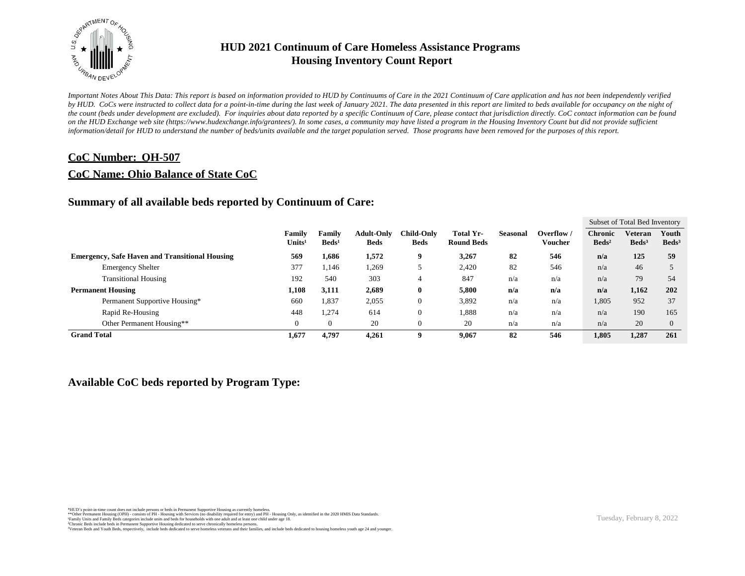

*Important Notes About This Data: This report is based on information provided to HUD by Continuums of Care in the 2021 Continuum of Care application and has not been independently verified*  by HUD. CoCs were instructed to collect data for a point-in-time during the last week of January 2021. The data presented in this report are limited to beds available for occupancy on the night of *the count (beds under development are excluded). For inquiries about data reported by a specific Continuum of Care, please contact that jurisdiction directly. CoC contact information can be found*  on the HUD Exchange web site (https://www.hudexchange.info/grantees/). In some cases, a community may have listed a program in the Housing Inventory Count but did not provide sufficient *information/detail for HUD to understand the number of beds/units available and the target population served. Those programs have been removed for the purposes of this report.*

#### **CoC Number: OH-507**

#### **CoC Name: Ohio Balance of State CoC**

#### **Summary of all available beds reported by Continuum of Care:**

|                                                       |                              |                           |                                  |                                  |                                |                 |                     |                                     | Subset of Total Bed Inventory |                          |
|-------------------------------------------------------|------------------------------|---------------------------|----------------------------------|----------------------------------|--------------------------------|-----------------|---------------------|-------------------------------------|-------------------------------|--------------------------|
|                                                       | Family<br>Units <sup>1</sup> | Familv<br>$\text{Beds}^1$ | <b>Adult-Only</b><br><b>Beds</b> | <b>Child-Only</b><br><b>Beds</b> | Total Yr-<br><b>Round Beds</b> | <b>Seasonal</b> | Overflow<br>Voucher | <b>Chronic</b><br>Beds <sup>2</sup> | Veteran<br>Beds <sup>3</sup>  | Youth<br>$\text{Beds}^3$ |
| <b>Emergency, Safe Haven and Transitional Housing</b> | 569                          | 1,686                     | 1,572                            | 9                                | 3,267                          | 82              | 546                 | n/a                                 | 125                           | 59                       |
| <b>Emergency Shelter</b>                              | 377                          | 1,146                     | 1,269                            |                                  | 2,420                          | 82              | 546                 | n/a                                 | 46                            |                          |
| <b>Transitional Housing</b>                           | 192                          | 540                       | 303                              | 4                                | 847                            | n/a             | n/a                 | n/a                                 | 79                            | 54                       |
| <b>Permanent Housing</b>                              | 1,108                        | 3,111                     | 2,689                            | 0                                | 5,800                          | n/a             | n/a                 | n/a                                 | 1,162                         | 202                      |
| Permanent Supportive Housing*                         | 660                          | 1,837                     | 2,055                            |                                  | 3,892                          | n/a             | n/a                 | 1,805                               | 952                           | 37                       |
| Rapid Re-Housing                                      | 448                          | 1,274                     | 614                              |                                  | 1,888                          | n/a             | n/a                 | n/a                                 | 190                           | 165                      |
| Other Permanent Housing**                             | $\Omega$                     | $\Omega$                  | 20                               |                                  | 20                             | n/a             | n/a                 | n/a                                 | 20                            | $\Omega$                 |
| <b>Grand Total</b>                                    | 1,677                        | 4.797                     | 4.261                            | 9                                | 9.067                          | 82              | 546                 | 1.805                               | 1,287                         | 261                      |

#### **Available CoC beds reported by Program Type:**

\*HUD's point-in-time count does not include persons or beds in Permanent Supportive Housing as currently homeless.<br>\*\*Other Permanent Housing (OPH) - consists of PH - Housing with Services (no disability required for entry)

<sup>1</sup>Family Units and Family Beds categories include units and beds for households with one adult and at least one child under age 18.<br><sup>2</sup>Chronic Beds include beds in Permanent Supportive Housing dedicated to serve chronical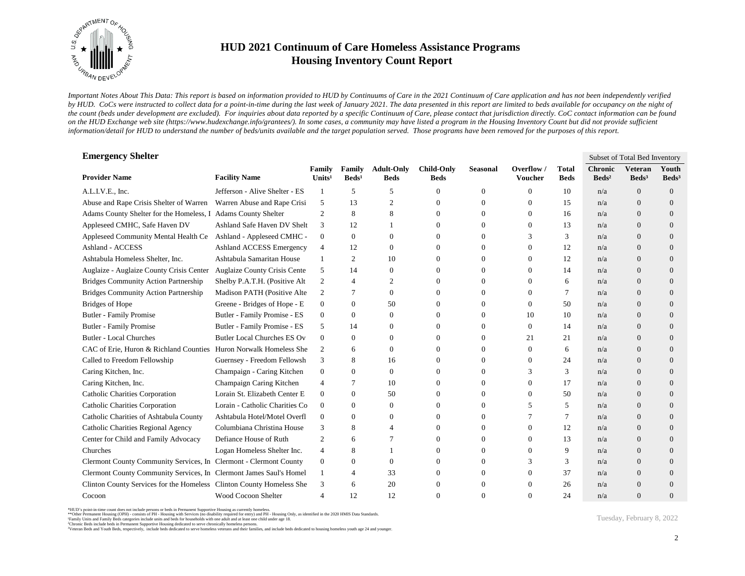

*Important Notes About This Data: This report is based on information provided to HUD by Continuums of Care in the 2021 Continuum of Care application and has not been independently verified*  by HUD. CoCs were instructed to collect data for a point-in-time during the last week of January 2021. The data presented in this report are limited to beds available for occupancy on the night of *the count (beds under development are excluded). For inquiries about data reported by a specific Continuum of Care, please contact that jurisdiction directly. CoC contact information can be found*  on the HUD Exchange web site (https://www.hudexchange.info/grantees/). In some cases, a community may have listed a program in the Housing Inventory Count but did not provide sufficient *information/detail for HUD to understand the number of beds/units available and the target population served. Those programs have been removed for the purposes of this report.*

| <b>Emergency Shelter</b>                                             |                                     |                              |                           |                                  |                                  |                  |                       |                             |                                   | Subset of Total Bed Inventory     |                          |
|----------------------------------------------------------------------|-------------------------------------|------------------------------|---------------------------|----------------------------------|----------------------------------|------------------|-----------------------|-----------------------------|-----------------------------------|-----------------------------------|--------------------------|
| <b>Provider Name</b>                                                 | <b>Facility Name</b>                | Family<br>Units <sup>1</sup> | Family<br>$\text{Beds}^1$ | <b>Adult-Only</b><br><b>Beds</b> | <b>Child-Only</b><br><b>Beds</b> | <b>Seasonal</b>  | Overflow /<br>Voucher | <b>Total</b><br><b>Beds</b> | <b>Chronic</b><br>$\text{Beds}^2$ | <b>Veteran</b><br>$\text{Beds}^3$ | Youth<br>$\text{Beds}^3$ |
| A.L.I.V.E., Inc.                                                     | Jefferson - Alive Shelter - ES      | 1                            | 5                         | 5                                | 0                                | $\boldsymbol{0}$ | $\Omega$              | 10                          | n/a                               | $\overline{0}$                    | $\overline{0}$           |
| Abuse and Rape Crisis Shelter of Warren                              | Warren Abuse and Rape Crisi         | 5                            | 13                        | $\mathfrak{2}$                   | 0                                | $\mathbf{0}$     | $\theta$              | 15                          | n/a                               | $\overline{0}$                    | $\overline{0}$           |
| Adams County Shelter for the Homeless, I                             | <b>Adams County Shelter</b>         | 2                            | 8                         | 8                                | $\Omega$                         | $\Omega$         | $\Omega$              | 16                          | n/a                               | $\Omega$                          | $\Omega$                 |
| Appleseed CMHC, Safe Haven DV                                        | Ashland Safe Haven DV Shelt         | 3                            | 12                        |                                  | $\Omega$                         | $\Omega$         | $\Omega$              | 13                          | n/a                               | $\Omega$                          | $\overline{0}$           |
| Appleseed Community Mental Health Ce                                 | Ashland - Appleseed CMHC -          | $\overline{0}$               | $\mathbf{0}$              | $\theta$                         | 0                                | $\Omega$         | 3                     | 3                           | n/a                               | $\Omega$                          | $\Omega$                 |
| Ashland - ACCESS                                                     | Ashland ACCESS Emergency            | $\overline{4}$               | 12                        | $\theta$                         | 0                                | $\Omega$         | $\Omega$              | 12                          | n/a                               | $\Omega$                          | $\Omega$                 |
| Ashtabula Homeless Shelter, Inc.                                     | Ashtabula Samaritan House           | 1                            | $\mathfrak{2}$            | 10                               | 0                                | $\mathbf{0}$     | $\theta$              | 12                          | n/a                               | $\overline{0}$                    | $\overline{0}$           |
| Auglaize - Auglaize County Crisis Center                             | <b>Auglaize County Crisis Cente</b> | 5                            | 14                        | $\theta$                         | 0                                | $\mathbf{0}$     | $\theta$              | 14                          | n/a                               | $\overline{0}$                    | $\overline{0}$           |
| <b>Bridges Community Action Partnership</b>                          | Shelby P.A.T.H. (Positive Alt       | 2                            | 4                         | 2                                | 0                                | $\mathbf{0}$     | $\theta$              | 6                           | n/a                               | $\overline{0}$                    | $\overline{0}$           |
| <b>Bridges Community Action Partnership</b>                          | Madison PATH (Positive Alte         | 2                            | 7                         | $\theta$                         | $\Omega$                         | $\Omega$         | $\Omega$              | 7                           | n/a                               | $\Omega$                          | $\Omega$                 |
| <b>Bridges of Hope</b>                                               | Greene - Bridges of Hope - E        | $\mathbf{0}$                 | $\mathbf{0}$              | 50                               | 0                                | $\Omega$         | $\Omega$              | 50                          | n/a                               | $\Omega$                          | $\overline{0}$           |
| <b>Butler - Family Promise</b>                                       | Butler - Family Promise - ES        | $\mathbf{0}$                 | $\mathbf{0}$              | $\Omega$                         | 0                                | $\mathbf{0}$     | 10                    | 10                          | n/a                               | $\Omega$                          | $\overline{0}$           |
| <b>Butler - Family Promise</b>                                       | Butler - Family Promise - ES        | 5                            | 14                        | $\theta$                         | 0                                | $\mathbf{0}$     | $\Omega$              | 14                          | n/a                               | $\Omega$                          | $\overline{0}$           |
| <b>Butler - Local Churches</b>                                       | <b>Butler Local Churches ES Ov</b>  | $\overline{0}$               | $\mathbf{0}$              | $\theta$                         | $\Omega$                         | $\Omega$         | 21                    | 21                          | n/a                               | $\Omega$                          | $\Omega$                 |
| CAC of Erie, Huron & Richland Counties Huron Norwalk Homeless She    |                                     | 2                            | 6                         | $\theta$                         | 0                                | $\mathbf{0}$     | $\Omega$              | 6                           | n/a                               | $\overline{0}$                    | $\overline{0}$           |
| Called to Freedom Fellowship                                         | Guernsey - Freedom Fellowsh         | 3                            | 8                         | 16                               | 0                                | $\Omega$         | $\Omega$              | 24                          | n/a                               | $\overline{0}$                    | $\overline{0}$           |
| Caring Kitchen, Inc.                                                 | Champaign - Caring Kitchen          | $\mathbf{0}$                 | $\Omega$                  | $\Omega$                         | $\Omega$                         | $\Omega$         | 3                     | 3                           | n/a                               | $\Omega$                          | $\Omega$                 |
| Caring Kitchen, Inc.                                                 | Champaign Caring Kitchen            | 4                            | $\tau$                    | 10                               | $\Omega$                         | $\Omega$         | $\Omega$              | 17                          | n/a                               | $\Omega$                          | $\Omega$                 |
| Catholic Charities Corporation                                       | Lorain St. Elizabeth Center E       | $\mathbf{0}$                 | $\mathbf{0}$              | 50                               | 0                                | $\Omega$         | $\theta$              | 50                          | n/a                               | $\Omega$                          | $\Omega$                 |
| Catholic Charities Corporation                                       | Lorain - Catholic Charities Co      | $\mathbf{0}$                 | $\mathbf{0}$              | $\theta$                         | 0                                | $\mathbf{0}$     | 5                     | 5                           | n/a                               | $\overline{0}$                    | $\overline{0}$           |
| Catholic Charities of Ashtabula County                               | Ashtabula Hotel/Motel Overfl        | $\overline{0}$               | $\mathbf{0}$              | $\theta$                         | 0                                | $\mathbf{0}$     |                       | 7                           | n/a                               | $\overline{0}$                    | $\overline{0}$           |
| Catholic Charities Regional Agency                                   | Columbiana Christina House          | 3                            | 8                         | $\overline{4}$                   | $\Omega$                         | $\mathbf{0}$     | $\Omega$              | 12                          | n/a                               | $\overline{0}$                    | $\overline{0}$           |
| Center for Child and Family Advocacy                                 | Defiance House of Ruth              | 2                            | 6                         | 7                                | $\Omega$                         | $\Omega$         | $\Omega$              | 13                          | n/a                               | $\overline{0}$                    | $\overline{0}$           |
| Churches                                                             | Logan Homeless Shelter Inc.         | $\overline{4}$               | 8                         |                                  | 0                                | $\Omega$         | $\Omega$              | 9                           | n/a                               | $\Omega$                          | $\Omega$                 |
| Clermont County Community Services, In Clermont - Clermont County    |                                     | $\mathbf{0}$                 | $\mathbf{0}$              | $\Omega$                         | 0                                | $\Omega$         | 3                     | 3                           | n/a                               | $\Omega$                          | $\overline{0}$           |
| Clermont County Community Services, In Clermont James Saul's Homel   |                                     | 1                            | 4                         | 33                               | 0                                | $\Omega$         | $\theta$              | 37                          | n/a                               | $\Omega$                          | $\Omega$                 |
| Clinton County Services for the Homeless Clinton County Homeless She |                                     | 3                            | 6                         | 20                               | 0                                | $\Omega$         | $\Omega$              | 26                          | n/a                               | $\Omega$                          | $\Omega$                 |
| Cocoon                                                               | Wood Cocoon Shelter                 | $\overline{4}$               | 12                        | 12                               | 0                                | $\Omega$         |                       | 24                          | n/a                               | $\Omega$                          | $\Omega$                 |

\*HUD's point-in-time count does not include persons or beds in Permanent Supportive Housing as currently homeless.<br>\*\*Other Permanent Housing (OPH) - consists of PH - Housing with Services (no disability required for entry)

<sup>3</sup>Veteran Beds and Youth Beds, respectively, include beds dedicated to serve homeless veterans and their families, and include beds dedicated to housing homeless youth age 24 and younger.

Tuesday, February 8, 2022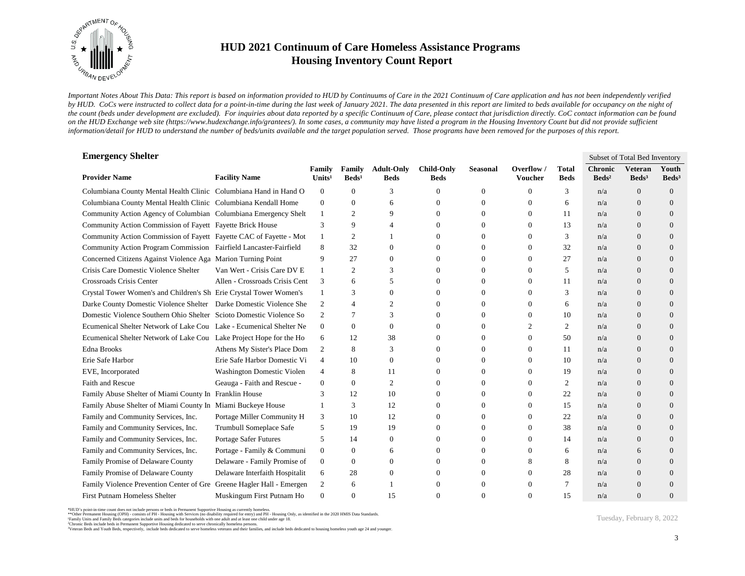

*Important Notes About This Data: This report is based on information provided to HUD by Continuums of Care in the 2021 Continuum of Care application and has not been independently verified*  by HUD. CoCs were instructed to collect data for a point-in-time during the last week of January 2021. The data presented in this report are limited to beds available for occupancy on the night of *the count (beds under development are excluded). For inquiries about data reported by a specific Continuum of Care, please contact that jurisdiction directly. CoC contact information can be found*  on the HUD Exchange web site (https://www.hudexchange.info/grantees/). In some cases, a community may have listed a program in the Housing Inventory Count but did not provide sufficient *information/detail for HUD to understand the number of beds/units available and the target population served. Those programs have been removed for the purposes of this report.*

| <b>Emergency Shelter</b>                                              |                                |                              |                           |                                  |                                  |                 |                       |                             |                                     | Subset of Total Bed Inventory       |                          |
|-----------------------------------------------------------------------|--------------------------------|------------------------------|---------------------------|----------------------------------|----------------------------------|-----------------|-----------------------|-----------------------------|-------------------------------------|-------------------------------------|--------------------------|
| <b>Provider Name</b>                                                  | <b>Facility Name</b>           | Family<br>Units <sup>1</sup> | Family<br>$\text{Beds}^1$ | <b>Adult-Only</b><br><b>Beds</b> | <b>Child-Only</b><br><b>Beds</b> | <b>Seasonal</b> | Overflow /<br>Voucher | <b>Total</b><br><b>Beds</b> | <b>Chronic</b><br>Beds <sup>2</sup> | <b>Veteran</b><br>Beds <sup>3</sup> | Youth<br>$\text{Beds}^3$ |
| Columbiana County Mental Health Clinic Columbiana Hand in Hand O      |                                | $\mathbf{0}$                 | 0                         | 3                                | 0                                | $\theta$        | $\Omega$              | 3                           | n/a                                 | $\theta$                            | $\theta$                 |
| Columbiana County Mental Health Clinic Columbiana Kendall Home        |                                | $\mathbf{0}$                 | $\overline{0}$            | 6                                | 0                                | $\theta$        | $\theta$              | 6                           | n/a                                 | $\theta$                            | $\Omega$                 |
| Community Action Agency of Columbian Columbiana Emergency Shelt       |                                | $\mathbf{1}$                 | $\overline{c}$            | 9                                | $\Omega$                         | $\Omega$        | $\Omega$              | 11                          | n/a                                 | $\Omega$                            | $\Omega$                 |
| Community Action Commission of Fayett Fayette Brick House             |                                | 3                            | 9                         | $\Delta$                         | $\Omega$                         | $\Omega$        | $\Omega$              | 13                          | n/a                                 | $\Omega$                            | $\Omega$                 |
| Community Action Commission of Fayett Fayette CAC of Fayette - Mot    |                                | $\mathbf{1}$                 | $\overline{c}$            |                                  | 0                                | $\Omega$        | $\Omega$              | 3                           | n/a                                 | $\Omega$                            | $\Omega$                 |
| Community Action Program Commission Fairfield Lancaster-Fairfield     |                                | 8                            | 32                        | $\theta$                         | 0                                | 0               | $\mathbf{0}$          | 32                          | n/a                                 | $\overline{0}$                      | $\theta$                 |
| Concerned Citizens Against Violence Aga Marion Turning Point          |                                | 9                            | 27                        | $\mathbf{0}$                     | 0                                | 0               | $\mathbf{0}$          | 27                          | n/a                                 | $\theta$                            | $\theta$                 |
| Crisis Care Domestic Violence Shelter                                 | Van Wert - Crisis Care DV E    | 1                            | $\overline{c}$            | 3                                | $\Omega$                         | $\Omega$        | $\Omega$              | 5                           | n/a                                 | $\theta$                            | $\Omega$                 |
| Crossroads Crisis Center                                              | Allen - Crossroads Crisis Cent | 3                            | 6                         | 5                                | 0                                | $\Omega$        | $\theta$              | 11                          | n/a                                 | $\Omega$                            | $\Omega$                 |
| Crystal Tower Women's and Children's Sh Erie Crystal Tower Women's    |                                | $\mathbf{1}$                 | 3                         | $\Omega$                         | 0                                | $\Omega$        | $\Omega$              | 3                           | n/a                                 | $\Omega$                            | $\Omega$                 |
| Darke County Domestic Violence Shelter Darke Domestic Violence She    |                                | 2                            | 4                         | $\overline{c}$                   | $\Omega$                         | $\Omega$        | $\Omega$              | 6                           | n/a                                 | $\Omega$                            | $\Omega$                 |
| Domestic Violence Southern Ohio Shelter Scioto Domestic Violence So   |                                | 2                            | 7                         | 3                                | 0                                | $\Omega$        | $\Omega$              | 10                          | n/a                                 | $\theta$                            | $\Omega$                 |
| Ecumenical Shelter Network of Lake Cou Lake - Ecumenical Shelter Ne   |                                | $\mathbf{0}$                 | 0                         | $\theta$                         | 0                                | $\Omega$        | $\mathfrak{D}$        | 2                           | n/a                                 | $\Omega$                            | $\Omega$                 |
| Ecumenical Shelter Network of Lake Cou Lake Project Hope for the Ho   |                                | 6                            | 12                        | 38                               | 0                                | $\Omega$        | $\overline{0}$        | 50                          | n/a                                 | $\Omega$                            | $\theta$                 |
| <b>Edna Brooks</b>                                                    | Athens My Sister's Place Dom   | 2                            | 8                         | 3                                | 0                                | $\Omega$        | $\Omega$              | 11                          | n/a                                 | $\Omega$                            | $\Omega$                 |
| Erie Safe Harbor                                                      | Erie Safe Harbor Domestic Vi   | $\overline{4}$               | 10                        | $\theta$                         | $\Omega$                         | $\theta$        | $\theta$              | 10                          | n/a                                 | $\Omega$                            | $\Omega$                 |
| EVE, Incorporated                                                     | Washington Domestic Violen     | $\overline{4}$               | 8                         | 11                               | $\Omega$                         | $\Omega$        | $\Omega$              | 19                          | n/a                                 | $\theta$                            | $\Omega$                 |
| Faith and Rescue                                                      | Geauga - Faith and Rescue -    | $\mathbf{0}$                 | 0                         | $\overline{2}$                   | $\Omega$                         | $\Omega$        | $\Omega$              | 2                           | n/a                                 | $\Omega$                            | $\Omega$                 |
| Family Abuse Shelter of Miami County In Franklin House                |                                | 3                            | 12                        | 10                               | 0                                | $\Omega$        | $\Omega$              | 22                          | n/a                                 | $\Omega$                            | $\Omega$                 |
| Family Abuse Shelter of Miami County In Miami Buckeye House           |                                |                              | 3                         | 12                               | 0                                | $\Omega$        | $\Omega$              | 15                          | n/a                                 | $\theta$                            | $\Omega$                 |
| Family and Community Services, Inc.                                   | Portage Miller Community H     | 3                            | 10                        | 12                               | 0                                | $\theta$        | $\theta$              | 22                          | n/a                                 | $\Omega$                            | $\Omega$                 |
| Family and Community Services, Inc.                                   | Trumbull Someplace Safe        | 5                            | 19                        | 19                               | $\Omega$                         | $\overline{0}$  | $\theta$              | 38                          | n/a                                 | $\theta$                            | $\theta$                 |
| Family and Community Services, Inc.                                   | Portage Safer Futures          | 5                            | 14                        | $\theta$                         | 0                                | $\Omega$        | $\theta$              | 14                          | n/a                                 | $\Omega$                            | $\theta$                 |
| Family and Community Services, Inc.                                   | Portage - Family & Communi     | $\mathbf{0}$                 | $\overline{0}$            | 6                                | 0                                | $\Omega$        | $\Omega$              | 6                           | n/a                                 | 6                                   | $\Omega$                 |
| Family Promise of Delaware County                                     | Delaware - Family Promise of   | $\mathbf{0}$                 | $\mathbf{0}$              | $\theta$                         | 0                                | $\Omega$        | 8                     | 8                           | n/a                                 | $\Omega$                            | $\Omega$                 |
| Family Promise of Delaware County                                     | Delaware Interfaith Hospitalit | 6                            | 28                        | $\theta$                         | 0                                | $\Omega$        | $\Omega$              | 28                          | n/a                                 | $\Omega$                            | $\Omega$                 |
| Family Violence Prevention Center of Gre Greene Hagler Hall - Emergen |                                | 2                            | 6                         |                                  | 0                                | $\Omega$        | $\Omega$              |                             | n/a                                 | $\Omega$                            | $\Omega$                 |
| First Putnam Homeless Shelter                                         | Muskingum First Putnam Ho      | $\theta$                     | 0                         | 15                               | 0                                |                 |                       | 15                          | n/a                                 | $\Omega$                            | $\Omega$                 |

\*HUD's point-in-time count does not include persons or beds in Permanent Supportive Housing as currently homeless.<br>\*\*Other Permanent Housing (OPH) - consists of PH - Housing with Services (no disability required for entry)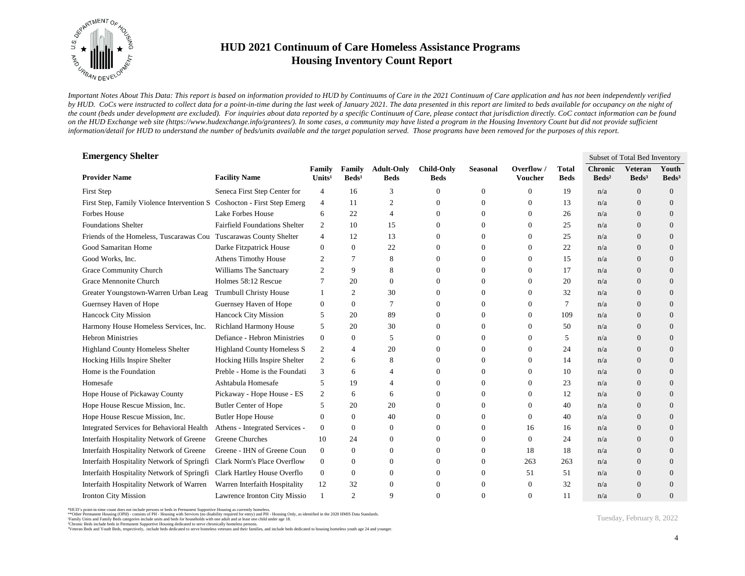

*Important Notes About This Data: This report is based on information provided to HUD by Continuums of Care in the 2021 Continuum of Care application and has not been independently verified*  by HUD. CoCs were instructed to collect data for a point-in-time during the last week of January 2021. The data presented in this report are limited to beds available for occupancy on the night of *the count (beds under development are excluded). For inquiries about data reported by a specific Continuum of Care, please contact that jurisdiction directly. CoC contact information can be found*  on the HUD Exchange web site (https://www.hudexchange.info/grantees/). In some cases, a community may have listed a program in the Housing Inventory Count but did not provide sufficient *information/detail for HUD to understand the number of beds/units available and the target population served. Those programs have been removed for the purposes of this report.*

| <b>Emergency Shelter</b>                                                |                                      |                              |                           |                                  |                                  |                |                       |                             |                                   | Subset of Total Bed Inventory       |                          |
|-------------------------------------------------------------------------|--------------------------------------|------------------------------|---------------------------|----------------------------------|----------------------------------|----------------|-----------------------|-----------------------------|-----------------------------------|-------------------------------------|--------------------------|
| <b>Provider Name</b>                                                    | <b>Facility Name</b>                 | Family<br>Units <sup>1</sup> | Family<br>$\text{Beds}^1$ | <b>Adult-Only</b><br><b>Beds</b> | <b>Child-Only</b><br><b>Beds</b> | Seasonal       | Overflow /<br>Voucher | <b>Total</b><br><b>Beds</b> | <b>Chronic</b><br>$\text{Beds}^2$ | <b>Veteran</b><br>Beds <sup>3</sup> | Youth<br>$\text{Beds}^3$ |
| First Step                                                              | Seneca First Step Center for         | 4                            | 16                        | 3                                | 0                                | $\theta$       | $\Omega$              | 19                          | n/a                               | $\overline{0}$                      | $\overline{0}$           |
| First Step, Family Violence Intervention S Coshocton - First Step Emerg |                                      | $\overline{4}$               | 11                        | $\mathfrak{2}$                   | 0                                | $\mathbf{0}$   | $\theta$              | 13                          | n/a                               | $\Omega$                            | $\overline{0}$           |
| <b>Forbes House</b>                                                     | Lake Forbes House                    | 6                            | 22                        | $\overline{4}$                   | $\mathbf{0}$                     | $\mathbf{0}$   | $\theta$              | 26                          | n/a                               | $\overline{0}$                      | $\overline{0}$           |
| <b>Foundations Shelter</b>                                              | <b>Fairfield Foundations Shelter</b> | 2                            | 10                        | 15                               | $\mathbf{0}$                     | $\Omega$       | $\Omega$              | 25                          | n/a                               | $\overline{0}$                      | $\overline{0}$           |
| Friends of the Homeless, Tuscarawas Cou Tuscarawas County Shelter       |                                      | $\overline{4}$               | 12                        | 13                               | $\Omega$                         | $\Omega$       | $\Omega$              | 25                          | n/a                               | $\Omega$                            | $\overline{0}$           |
| Good Samaritan Home                                                     | Darke Fitzpatrick House              | $\theta$                     | 0                         | 22                               | $\Omega$                         | $\Omega$       | $\Omega$              | 22                          | n/a                               | $\Omega$                            | $\overline{0}$           |
| Good Works, Inc.                                                        | <b>Athens Timothy House</b>          | 2                            | 7                         | 8                                | 0                                | $\theta$       | $\theta$              | 15                          | n/a                               | $\overline{0}$                      | $\overline{0}$           |
| Grace Community Church                                                  | Williams The Sanctuary               | $\overline{c}$               | 9                         | 8                                | $\Omega$                         | $\overline{0}$ | $\Omega$              | 17                          | n/a                               | $\overline{0}$                      | $\overline{0}$           |
| Grace Mennonite Church                                                  | Holmes 58:12 Rescue                  | 7                            | 20                        | $\mathbf{0}$                     | $\Omega$                         | $\theta$       | $\theta$              | 20                          | n/a                               | $\overline{0}$                      | $\overline{0}$           |
| Greater Youngstown-Warren Urban Leag                                    | <b>Trumbull Christy House</b>        |                              | 2                         | 30                               | $\mathbf{0}$                     | $\mathbf{0}$   | $\theta$              | 32                          | n/a                               | $\overline{0}$                      | $\overline{0}$           |
| Guernsey Haven of Hope                                                  | Guernsey Haven of Hope               | $\theta$                     | $\mathbf{0}$              | $\overline{7}$                   | $\Omega$                         | $\Omega$       | $\theta$              | 7                           | n/a                               | $\overline{0}$                      | $\overline{0}$           |
| Hancock City Mission                                                    | <b>Hancock City Mission</b>          | 5                            | 20                        | 89                               | $\Omega$                         | $\Omega$       | $\Omega$              | 109                         | n/a                               | $\Omega$                            | $\overline{0}$           |
| Harmony House Homeless Services, Inc.                                   | <b>Richland Harmony House</b>        | 5                            | 20                        | 30                               | $\Omega$                         | $\Omega$       | $\Omega$              | 50                          | n/a                               | $\Omega$                            | $\overline{0}$           |
| <b>Hebron Ministries</b>                                                | Defiance - Hebron Ministries         | $\mathbf{0}$                 | 0                         | 5                                | 0                                | $\overline{0}$ | $\theta$              | 5                           | n/a                               | $\overline{0}$                      | $\overline{0}$           |
| <b>Highland County Homeless Shelter</b>                                 | <b>Highland County Homeless S</b>    | $\overline{2}$               | 4                         | 20                               | 0                                | $\Omega$       | $\Omega$              | 24                          | n/a                               | $\overline{0}$                      | $\overline{0}$           |
| Hocking Hills Inspire Shelter                                           | Hocking Hills Inspire Shelter        | 2                            | 6                         | 8                                | $\Omega$                         | $\Omega$       | $\Omega$              | 14                          | n/a                               | $\Omega$                            | $\overline{0}$           |
| Home is the Foundation                                                  | Preble - Home is the Foundati        | 3                            | 6                         | $\overline{4}$                   | 0                                | $\mathbf{0}$   | $\theta$              | 10                          | n/a                               | $\overline{0}$                      | $\overline{0}$           |
| Homesafe                                                                | Ashtabula Homesafe                   | 5                            | 19                        | $\overline{A}$                   | 0                                | $\Omega$       | $\Omega$              | 23                          | n/a                               | $\overline{0}$                      | $\overline{0}$           |
| Hope House of Pickaway County                                           | Pickaway - Hope House - ES           | $\overline{2}$               | 6                         | 6                                | 0                                | $\Omega$       | $\Omega$              | 12                          | n/a                               | $\overline{0}$                      | $\overline{0}$           |
| Hope House Rescue Mission, Inc.                                         | <b>Butler Center of Hope</b>         | 5                            | 20                        | 20                               | $\Omega$                         | $\overline{0}$ | $\theta$              | 40                          | n/a                               | $\overline{0}$                      | $\overline{0}$           |
| Hope House Rescue Mission, Inc.                                         | <b>Butler Hope House</b>             | $\mathbf{0}$                 | $\overline{0}$            | 40                               | 0                                | $\mathbf{0}$   | $\theta$              | 40                          | n/a                               | $\overline{0}$                      | $\overline{0}$           |
| Integrated Services for Behavioral Health                               | Athens - Integrated Services -       | $\mathbf{0}$                 | $\mathbf{0}$              | $\theta$                         | $\Omega$                         | $\Omega$       | 16                    | 16                          | n/a                               | $\overline{0}$                      | $\overline{0}$           |
| Interfaith Hospitality Network of Greene                                | Greene Churches                      | 10                           | 24                        | $\theta$                         | $\mathbf{0}$                     | $\theta$       | $\theta$              | 24                          | n/a                               | $\overline{0}$                      | $\overline{0}$           |
| Interfaith Hospitality Network of Greene                                | Greene - IHN of Greene Coun          | $\mathbf{0}$                 | $\overline{0}$            | $\theta$                         | 0                                | $\overline{0}$ | 18                    | 18                          | n/a                               | $\overline{0}$                      | $\overline{0}$           |
| Interfaith Hospitality Network of Springfi                              | Clark Norm's Place Overflow          | $\boldsymbol{0}$             | $\overline{0}$            | $\theta$                         | 0                                | $\mathbf{0}$   | 263                   | 263                         | n/a                               | $\overline{0}$                      | $\overline{0}$           |
| Interfaith Hospitality Network of Springfi                              | Clark Hartley House Overflo          | $\mathbf{0}$                 | 0                         | $\theta$                         | 0                                | $\mathbf{0}$   | 51                    | 51                          | n/a                               | $\Omega$                            | $\Omega$                 |
| Interfaith Hospitality Network of Warren                                | Warren Interfaith Hospitality        | 12                           | 32                        | $\theta$                         | 0                                | $\overline{0}$ | $\theta$              | 32                          | n/a                               | $\overline{0}$                      | $\overline{0}$           |
| Ironton City Mission                                                    | Lawrence Ironton City Missio         | $\mathbf{1}$                 | $\overline{c}$            | 9                                | $\Omega$                         | $\Omega$       | $\Omega$              | 11                          | n/a                               | $\Omega$                            | $\overline{0}$           |

<sup>\*</sup>HUD's point-in-time count does not include persons or beds in Permanent Supportive Housing as currently homeless.<br>\*\*Other Permanent Housing (OPH) - consists of PH - Housing with Services (no disability required for entry)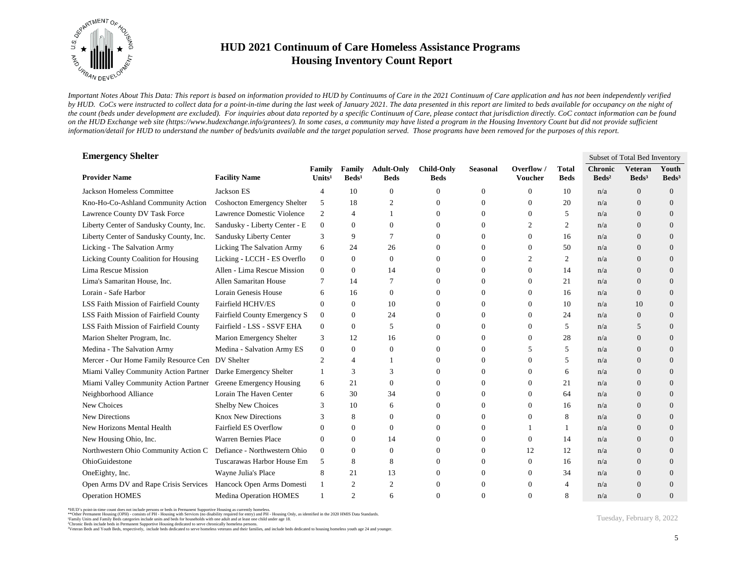

*Important Notes About This Data: This report is based on information provided to HUD by Continuums of Care in the 2021 Continuum of Care application and has not been independently verified*  by HUD. CoCs were instructed to collect data for a point-in-time during the last week of January 2021. The data presented in this report are limited to beds available for occupancy on the night of *the count (beds under development are excluded). For inquiries about data reported by a specific Continuum of Care, please contact that jurisdiction directly. CoC contact information can be found*  on the HUD Exchange web site (https://www.hudexchange.info/grantees/). In some cases, a community may have listed a program in the Housing Inventory Count but did not provide sufficient *information/detail for HUD to understand the number of beds/units available and the target population served. Those programs have been removed for the purposes of this report.*

| <b>Emergency Shelter</b>                                       |                                    |                              |                           |                                  |                                  |                 |                              |                             |                                     | Subset of Total Bed Inventory     |                          |
|----------------------------------------------------------------|------------------------------------|------------------------------|---------------------------|----------------------------------|----------------------------------|-----------------|------------------------------|-----------------------------|-------------------------------------|-----------------------------------|--------------------------|
| <b>Provider Name</b>                                           | <b>Facility Name</b>               | Family<br>Units <sup>1</sup> | Family<br>$\text{Beds}^1$ | <b>Adult-Only</b><br><b>Beds</b> | <b>Child-Only</b><br><b>Beds</b> | <b>Seasonal</b> | Overflow /<br><b>Voucher</b> | <b>Total</b><br><b>Beds</b> | <b>Chronic</b><br>Beds <sup>2</sup> | <b>Veteran</b><br>$\text{Beds}^3$ | Youth<br>$\text{Beds}^3$ |
| Jackson Homeless Committee                                     | Jackson ES                         | 4                            | 10                        | $\theta$                         | $\mathbf{0}$                     | $\theta$        | $\Omega$                     | 10                          | n/a                                 | $\theta$                          | $\theta$                 |
| Kno-Ho-Co-Ashland Community Action                             | <b>Coshocton Emergency Shelter</b> | 5                            | 18                        | $\overline{2}$                   | 0                                | $\theta$        | $\theta$                     | 20                          | n/a                                 | $\Omega$                          | $\Omega$                 |
| Lawrence County DV Task Force                                  | Lawrence Domestic Violence         | 2                            | 4                         |                                  | $\Omega$                         | $\Omega$        | $\Omega$                     | 5                           | n/a                                 | $\Omega$                          | $\Omega$                 |
| Liberty Center of Sandusky County, Inc.                        | Sandusky - Liberty Center - E      | $\mathbf{0}$                 | $\Omega$                  | $\theta$                         | $\Omega$                         | $\Omega$        | $\mathfrak{2}$               | $\overline{c}$              | n/a                                 | $\Omega$                          | $\Omega$                 |
| Liberty Center of Sandusky County, Inc.                        | Sandusky Liberty Center            | 3                            | 9                         | 7                                | 0                                | $\theta$        | $\Omega$                     | 16                          | n/a                                 | $\Omega$                          | $\Omega$                 |
| Licking - The Salvation Army                                   | Licking The Salvation Army         | 6                            | 24                        | 26                               | 0                                | $\Omega$        | $\Omega$                     | 50                          | n/a                                 | $\Omega$                          | $\Omega$                 |
| Licking County Coalition for Housing                           | Licking - LCCH - ES Overflo        | $\overline{0}$               | 0                         | $\overline{0}$                   | 0                                | $\overline{0}$  | $\overline{2}$               | 2                           | n/a                                 | $\theta$                          | $\theta$                 |
| Lima Rescue Mission                                            | Allen - Lima Rescue Mission        | $\overline{0}$               | 0                         | 14                               | $\Omega$                         | $\Omega$        | $\overline{0}$               | 14                          | n/a                                 | $\theta$                          | $\Omega$                 |
| Lima's Samaritan House, Inc.                                   | Allen Samaritan House              | 7                            | 14                        | $\overline{7}$                   | $\Omega$                         | $\Omega$        | $\theta$                     | 21                          | n/a                                 | $\mathbf{0}$                      | $\overline{0}$           |
| Lorain - Safe Harbor                                           | Lorain Genesis House               | 6                            | 16                        | $\theta$                         | $\Omega$                         | $\Omega$        | $\Omega$                     | 16                          | n/a                                 | $\theta$                          | $\Omega$                 |
| LSS Faith Mission of Fairfield County                          | Fairfield HCHV/ES                  | $\overline{0}$               | $\Omega$                  | 10                               | 0                                | $\Omega$        | $\Omega$                     | 10                          | n/a                                 | 10                                | $\Omega$                 |
| LSS Faith Mission of Fairfield County                          | Fairfield County Emergency S       | $\mathbf{0}$                 | $\Omega$                  | 24                               | 0                                | $\Omega$        | $\Omega$                     | 24                          | n/a                                 | $\Omega$                          | $\Omega$                 |
| LSS Faith Mission of Fairfield County                          | Fairfield - LSS - SSVF EHA         | $\boldsymbol{0}$             | 0                         | 5                                | $\Omega$                         | $\Omega$        | $\Omega$                     | 5                           | n/a                                 | 5                                 | $\Omega$                 |
| Marion Shelter Program, Inc.                                   | Marion Emergency Shelter           | 3                            | 12                        | 16                               | 0                                | $\theta$        | $\Omega$                     | 28                          | n/a                                 | $\theta$                          | $\Omega$                 |
| Medina - The Salvation Army                                    | Medina - Salvation Army ES         | $\mathbf{0}$                 | $\overline{0}$            | $\Omega$                         | 0                                | $\Omega$        | 5                            | 5                           | n/a                                 | $\Omega$                          | $\Omega$                 |
| Mercer - Our Home Family Resource Cen DV Shelter               |                                    | $\overline{2}$               | 4                         |                                  | 0                                | $\Omega$        | $\Omega$                     | 5                           | n/a                                 | $\Omega$                          | $\Omega$                 |
| Miami Valley Community Action Partner Darke Emergency Shelter  |                                    | 1                            | 3                         | 3                                | $\Omega$                         | $\Omega$        | $\Omega$                     | 6                           | n/a                                 | $\Omega$                          | $\Omega$                 |
| Miami Valley Community Action Partner Greene Emergency Housing |                                    | 6                            | 21                        | $\theta$                         | $\Omega$                         | $\Omega$        | $\Omega$                     | 21                          | n/a                                 | $\Omega$                          | $\Omega$                 |
| Neighborhood Alliance                                          | Lorain The Haven Center            | 6                            | 30                        | 34                               | 0                                | $\theta$        | $\Omega$                     | 64                          | n/a                                 | $\Omega$                          | $\Omega$                 |
| New Choices                                                    | Shelby New Choices                 | 3                            | 10                        | 6                                | 0                                | 0               | $\Omega$                     | 16                          | n/a                                 | $\theta$                          | $\theta$                 |
| New Directions                                                 | <b>Knox New Directions</b>         |                              | 8                         | $\theta$                         | 0                                | $\theta$        | $\overline{0}$               | 8                           | n/a                                 | $\theta$                          | $\theta$                 |
| New Horizons Mental Health                                     | Fairfield ES Overflow              | $\Omega$                     | $\overline{0}$            | $\theta$                         | 0                                | $\Omega$        |                              |                             | n/a                                 | $\Omega$                          | $\Omega$                 |
| New Housing Ohio, Inc.                                         | Warren Bernies Place               | $\overline{0}$               | $\overline{0}$            | 14                               | 0                                | $\theta$        | $\Omega$                     | 14                          | n/a                                 | $\Omega$                          | $\overline{0}$           |
| Northwestern Ohio Community Action C                           | Defiance - Northwestern Ohio       | $\overline{0}$               | $\Omega$                  | $\theta$                         | 0                                | $\Omega$        | 12                           | 12                          | n/a                                 | $\Omega$                          | $\Omega$                 |
| OhioGuidestone                                                 | Tuscarawas Harbor House Em         | 5                            | 8                         | 8                                | $\Omega$                         | $\Omega$        | $\Omega$                     | 16                          | n/a                                 | $\Omega$                          | $\Omega$                 |
| OneEighty, Inc.                                                | Wayne Julia's Place                | 8                            | 21                        | 13                               | 0                                | $\theta$        | $\Omega$                     | 34                          | n/a                                 | $\Omega$                          | $\Omega$                 |
| Open Arms DV and Rape Crisis Services                          | Hancock Open Arms Domesti          | 1                            | 2                         | $\overline{2}$                   | 0                                | $\Omega$        | $\Omega$                     | 4                           | n/a                                 | $\Omega$                          | $\Omega$                 |
| <b>Operation HOMES</b>                                         | <b>Medina Operation HOMES</b>      |                              | $\overline{c}$            | 6                                | 0                                |                 | $\Omega$                     | 8                           | n/a                                 | $\Omega$                          | $\Omega$                 |

\*HUD's point-in-time count does not include persons or beds in Permanent Supportive Housing as currently homeless.<br>\*\*Other Permanent Housing (OPH) - consists of PH - Housing with Services (no disability required for entry)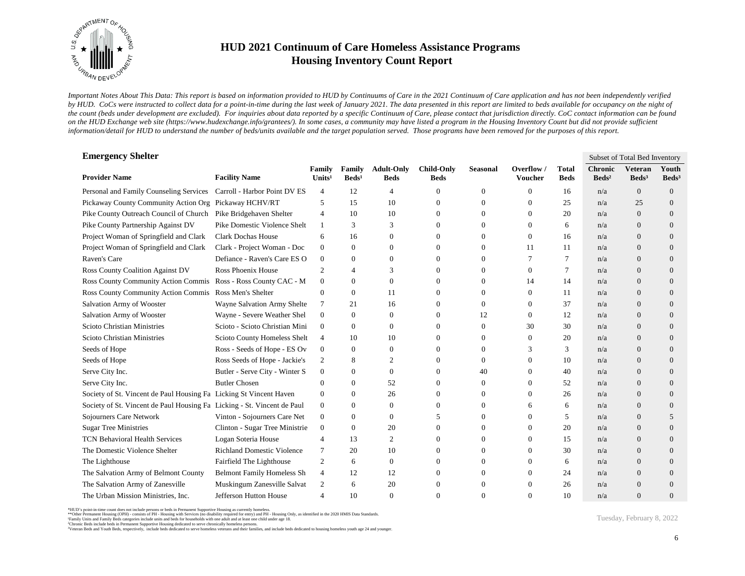

*Important Notes About This Data: This report is based on information provided to HUD by Continuums of Care in the 2021 Continuum of Care application and has not been independently verified*  by HUD. CoCs were instructed to collect data for a point-in-time during the last week of January 2021. The data presented in this report are limited to beds available for occupancy on the night of *the count (beds under development are excluded). For inquiries about data reported by a specific Continuum of Care, please contact that jurisdiction directly. CoC contact information can be found*  on the HUD Exchange web site (https://www.hudexchange.info/grantees/). In some cases, a community may have listed a program in the Housing Inventory Count but did not provide sufficient *information/detail for HUD to understand the number of beds/units available and the target population served. Those programs have been removed for the purposes of this report.*

| <b>Emergency Shelter</b>                                                |                                   |                              |                           |                                  |                                  |                 |                       |                             |                                     | Subset of Total Bed Inventory       |                            |
|-------------------------------------------------------------------------|-----------------------------------|------------------------------|---------------------------|----------------------------------|----------------------------------|-----------------|-----------------------|-----------------------------|-------------------------------------|-------------------------------------|----------------------------|
| <b>Provider Name</b>                                                    | <b>Facility Name</b>              | Family<br>Units <sup>1</sup> | Family<br>$\text{Beds}^1$ | <b>Adult-Only</b><br><b>Beds</b> | <b>Child-Only</b><br><b>Beds</b> | <b>Seasonal</b> | Overflow /<br>Voucher | <b>Total</b><br><b>Beds</b> | <b>Chronic</b><br>Beds <sup>2</sup> | <b>Veteran</b><br>Beds <sup>3</sup> | Youth<br>Beds <sup>3</sup> |
| Personal and Family Counseling Services                                 | Carroll - Harbor Point DV ES      | 4                            | 12                        | $\overline{4}$                   | 0                                | 0               | $\Omega$              | 16                          | n/a                                 | $\overline{0}$                      | $\mathbf{0}$               |
| Pickaway County Community Action Org Pickaway HCHV/RT                   |                                   | 5                            | 15                        | 10                               | 0                                | $\mathbf{0}$    | $\theta$              | 25                          | n/a                                 | 25                                  | $\overline{0}$             |
| Pike County Outreach Council of Church Pike Bridgehaven Shelter         |                                   | $\overline{4}$               | 10                        | 10                               | $\Omega$                         | $\Omega$        | $\Omega$              | 20                          | n/a                                 | $\Omega$                            | $\Omega$                   |
| Pike County Partnership Against DV                                      | Pike Domestic Violence Shelt      | 1                            | 3                         | 3                                | 0                                | $\mathbf{0}$    | $\theta$              | 6                           | n/a                                 | $\overline{0}$                      | $\overline{0}$             |
| Project Woman of Springfield and Clark                                  | <b>Clark Dochas House</b>         | 6                            | 16                        | $\theta$                         | $\Omega$                         | $\mathbf{0}$    | 0                     | 16                          | n/a                                 | $\overline{0}$                      | $\overline{0}$             |
| Project Woman of Springfield and Clark                                  | Clark - Project Woman - Doc       | $\mathbf{0}$                 | $\mathbf{0}$              | $\Omega$                         | 0                                | $\mathbf{0}$    | 11                    | 11                          | n/a                                 | $\Omega$                            | $\overline{0}$             |
| Raven's Care                                                            | Defiance - Raven's Care ES O      | $\overline{0}$               | $\mathbf{0}$              | $\theta$                         | 0                                | $\mathbf{0}$    |                       | 7                           | n/a                                 | $\Omega$                            | $\overline{0}$             |
| <b>Ross County Coalition Against DV</b>                                 | Ross Phoenix House                | 2                            | $\overline{4}$            | 3                                | 0                                | $\mathbf{0}$    | $\mathbf{0}$          | 7                           | n/a                                 | $\overline{0}$                      | $\overline{0}$             |
| Ross County Community Action Commis Ross - Ross County CAC - M          |                                   | $\mathbf{0}$                 | $\mathbf{0}$              | $\mathbf{0}$                     | 0                                | $\mathbf{0}$    | 14                    | 14                          | n/a                                 | $\overline{0}$                      | $\overline{0}$             |
| Ross County Community Action Commis Ross Men's Shelter                  |                                   | $\mathbf{0}$                 | $\mathbf{0}$              | 11                               | 0                                | $\mathbf{0}$    | $\Omega$              | 11                          | n/a                                 | $\overline{0}$                      | $\overline{0}$             |
| Salvation Army of Wooster                                               | Wayne Salvation Army Shelte       | $\tau$                       | 21                        | 16                               | $\Omega$                         | $\Omega$        | $\Omega$              | 37                          | n/a                                 | $\Omega$                            | $\overline{0}$             |
| Salvation Army of Wooster                                               | Wayne - Severe Weather Shel       | $\overline{0}$               | $\mathbf{0}$              | $\theta$                         | $\mathbf{0}$                     | 12              | $\overline{0}$        | 12                          | n/a                                 | $\overline{0}$                      | $\overline{0}$             |
| Scioto Christian Ministries                                             | Scioto - Scioto Christian Mini    | $\mathbf{0}$                 | $\boldsymbol{0}$          | $\theta$                         | 0                                | $\mathbf{0}$    | 30                    | 30                          | n/a                                 | $\overline{0}$                      | $\overline{0}$             |
| Scioto Christian Ministries                                             | Scioto County Homeless Shelt      | 4                            | 10                        | 10                               | 0                                | $\mathbf{0}$    | $\theta$              | 20                          | n/a                                 | $\mathbf{0}$                        | $\overline{0}$             |
| Seeds of Hope                                                           | Ross - Seeds of Hope - ES Ov      | $\mathbf{0}$                 | $\mathbf{0}$              | $\Omega$                         | 0                                | $\Omega$        | 3                     | 3                           | n/a                                 | $\Omega$                            | $\Omega$                   |
| Seeds of Hope                                                           | Ross Seeds of Hope - Jackie's     | 2                            | 8                         | 2                                | 0                                | $\theta$        | $\theta$              | 10                          | n/a                                 | $\overline{0}$                      | $\overline{0}$             |
| Serve City Inc.                                                         | Butler - Serve City - Winter S    | $\mathbf{0}$                 | $\Omega$                  | $\theta$                         | $\Omega$                         | 40              | $\Omega$              | 40                          | n/a                                 | $\Omega$                            | $\overline{0}$             |
| Serve City Inc.                                                         | <b>Butler Chosen</b>              | $\theta$                     | $\Omega$                  | 52                               | 0                                | $\mathbf{0}$    | $\Omega$              | 52                          | n/a                                 | $\Omega$                            | $\overline{0}$             |
| Society of St. Vincent de Paul Housing Fa Licking St Vincent Haven      |                                   | $\mathbf{0}$                 | $\mathbf{0}$              | 26                               | 0                                | $\mathbf{0}$    | $\theta$              | 26                          | n/a                                 | $\mathbf{0}$                        | $\overline{0}$             |
| Society of St. Vincent de Paul Housing Fa Licking - St. Vincent de Paul |                                   | $\mathbf{0}$                 | $\mathbf{0}$              | $\theta$                         | 0                                | $\theta$        | 6                     | 6                           | n/a                                 | $\overline{0}$                      | $\overline{0}$             |
| Sojourners Care Network                                                 | Vinton - Sojourners Care Net      | $\mathbf{0}$                 | $\mathbf{0}$              | $\theta$                         | 5                                | $\mathbf{0}$    | $\theta$              | 5                           | n/a                                 | $\overline{0}$                      | 5                          |
| <b>Sugar Tree Ministries</b>                                            | Clinton - Sugar Tree Ministrie    | $\mathbf{0}$                 | $\mathbf{0}$              | 20                               | $\Omega$                         | $\Omega$        | $\Omega$              | 20                          | n/a                                 | $\Omega$                            | $\Omega$                   |
| <b>TCN Behavioral Health Services</b>                                   | Logan Soteria House               | $\overline{4}$               | 13                        | 2                                | $\mathbf{0}$                     | $\mathbf{0}$    | $\theta$              | 15                          | n/a                                 | $\mathbf{0}$                        | $\overline{0}$             |
| The Domestic Violence Shelter                                           | <b>Richland Domestic Violence</b> | $\tau$                       | 20                        | 10                               | $\Omega$                         | $\mathbf{0}$    | $\Omega$              | 30                          | n/a                                 | $\overline{0}$                      | $\overline{0}$             |
| The Lighthouse                                                          | Fairfield The Lighthouse          | 2                            | 6                         | $\theta$                         | 0                                | $\Omega$        | $\Omega$              | 6                           | n/a                                 | $\overline{0}$                      | $\overline{0}$             |
| The Salvation Army of Belmont County                                    | <b>Belmont Family Homeless Sh</b> | $\overline{4}$               | 12                        | 12                               | 0                                | $\Omega$        | $\Omega$              | 24                          | n/a                                 | $\overline{0}$                      | $\Omega$                   |
| The Salvation Army of Zanesville                                        | Muskingum Zanesville Salvat       | 2                            | 6                         | 20                               | 0                                | $\mathbf{0}$    | $\Omega$              | 26                          | n/a                                 | $\mathbf{0}$                        | $\overline{0}$             |
| The Urban Mission Ministries, Inc.                                      | Jefferson Hutton House            | $\overline{4}$               | 10                        | $\Omega$                         | $\Omega$                         | $\Omega$        | $\Omega$              | 10                          | n/a                                 | $\Omega$                            | $\overline{0}$             |

<sup>3</sup>Veteran Beds and Youth Beds, respectively, include beds dedicated to serve homeless veterans and their families, and include beds dedicated to housing homeless youth age 24 and younger.

Tuesday, February 8, 2022

<sup>\*</sup>HUD's point-in-time count does not include persons or beds in Permanent Supportive Housing as currently homeless.<br>\*\*Other Permanent Housing (OPH) - consists of PH - Housing with Services (no disability required for entry)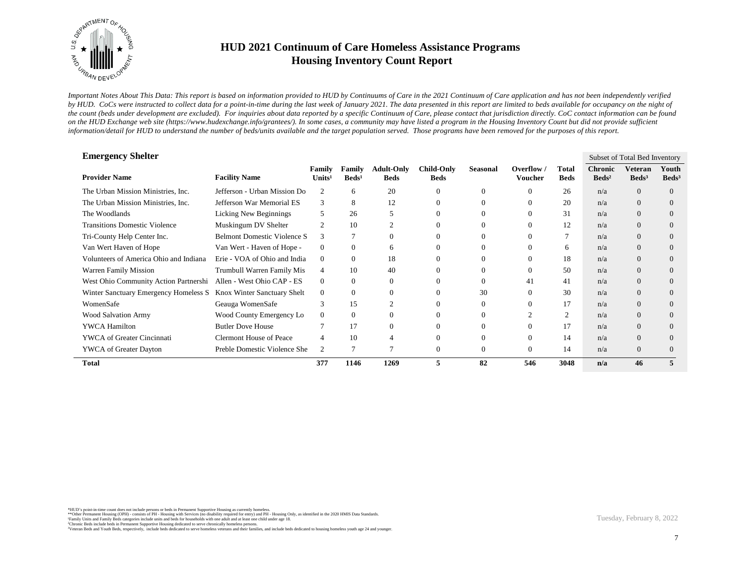

*Important Notes About This Data: This report is based on information provided to HUD by Continuums of Care in the 2021 Continuum of Care application and has not been independently verified*  by HUD. CoCs were instructed to collect data for a point-in-time during the last week of January 2021. The data presented in this report are limited to beds available for occupancy on the night of *the count (beds under development are excluded). For inquiries about data reported by a specific Continuum of Care, please contact that jurisdiction directly. CoC contact information can be found*  on the HUD Exchange web site (https://www.hudexchange.info/grantees/). In some cases, a community may have listed a program in the Housing Inventory Count but did not provide sufficient *information/detail for HUD to understand the number of beds/units available and the target population served. Those programs have been removed for the purposes of this report.*

| <b>Emergency Shelter</b>               |                                    |                              |                           |                                  |                                  |                 |                             |                      |                                     | Subset of Total Bed Inventory |                            |
|----------------------------------------|------------------------------------|------------------------------|---------------------------|----------------------------------|----------------------------------|-----------------|-----------------------------|----------------------|-------------------------------------|-------------------------------|----------------------------|
| <b>Provider Name</b>                   | <b>Facility Name</b>               | Family<br>Units <sup>1</sup> | Family<br>$\text{Beds}^1$ | <b>Adult-Only</b><br><b>Beds</b> | <b>Child-Only</b><br><b>Beds</b> | <b>Seasonal</b> | Overflow/<br><b>Voucher</b> | Total<br><b>Beds</b> | <b>Chronic</b><br>Beds <sup>2</sup> | Veteran<br>Beds <sup>3</sup>  | Youth<br>Beds <sup>3</sup> |
| The Urban Mission Ministries, Inc.     | Jefferson - Urban Mission Do       | $\overline{2}$               | 6                         | 20                               | $\Omega$                         | 0               | $\Omega$                    | 26                   | n/a                                 | $\Omega$                      | $\Omega$                   |
| The Urban Mission Ministries, Inc.     | Jefferson War Memorial ES          | 3                            | 8                         | 12                               | $\Omega$                         |                 |                             | 20                   | n/a                                 | $\overline{0}$                | $\Omega$                   |
| The Woodlands                          | Licking New Beginnings             | 5                            | 26                        | 5                                | $\Omega$                         |                 |                             | 31                   | n/a                                 | $\overline{0}$                | $\theta$                   |
| <b>Transitions Domestic Violence</b>   | Muskingum DV Shelter               | $\overline{2}$               | 10                        | $\overline{2}$                   |                                  | 0               |                             | 12                   | n/a                                 | $\overline{0}$                | $\theta$                   |
| Tri-County Help Center Inc.            | <b>Belmont Domestic Violence S</b> | 3                            |                           | $\overline{0}$                   |                                  | 0               |                             |                      | n/a                                 | $\Omega$                      | $\Omega$                   |
| Van Wert Haven of Hope                 | Van Wert - Haven of Hope -         | $\mathbf{0}$                 | $\Omega$                  | 6                                |                                  | 0               | $\Omega$                    | 6                    | n/a                                 | $\Omega$                      | $\Omega$                   |
| Volunteers of America Ohio and Indiana | Erie - VOA of Ohio and India       | $\mathbf{0}$                 | $\Omega$                  | 18                               |                                  | 0               |                             | 18                   | n/a                                 | $\Omega$                      | $\Omega$                   |
| <b>Warren Family Mission</b>           | Trumbull Warren Family Mis         | $\overline{4}$               | 10                        | 40                               |                                  | 0               |                             | 50                   | n/a                                 | $\Omega$                      | $\Omega$                   |
| West Ohio Community Action Partnershi  | Allen - West Ohio CAP - ES         | $\Omega$                     | $\Omega$                  | $\Omega$                         | $\Omega$                         | $\Omega$        | 41                          | 41                   | n/a                                 | $\Omega$                      | $\Omega$                   |
| Winter Sanctuary Emergency Homeless S  | Knox Winter Sanctuary Shelt        | $\overline{0}$               | $\Omega$                  | $\Omega$                         | $\Omega$                         | 30              | $\Omega$                    | 30                   | n/a                                 | $\Omega$                      | $\Omega$                   |
| WomenSafe                              | Geauga WomenSafe                   | 3                            | 15                        | $\overline{2}$                   |                                  | $\Omega$        |                             | 17                   | n/a                                 | $\Omega$                      | $\Omega$                   |
| Wood Salvation Army                    | Wood County Emergency Lo           | $\mathbf{0}$                 | $\Omega$                  | $\Omega$                         |                                  | 0               | ◠                           | 2                    | n/a                                 | $\Omega$                      | $\Omega$                   |
| <b>YWCA Hamilton</b>                   | <b>Butler Dove House</b>           |                              | 17                        | $\Omega$                         | $\Omega$                         | 0               | $\Omega$                    | 17                   | n/a                                 | $\Omega$                      | $\Omega$                   |
| <b>YWCA</b> of Greater Cincinnati      | <b>Clermont House of Peace</b>     | 4                            | 10                        | $\overline{4}$                   | $\Omega$                         | 0               | $\Omega$                    | 14                   | n/a                                 | $\Omega$                      | $\Omega$                   |
| <b>YWCA</b> of Greater Dayton          | Preble Domestic Violence She       | $\overline{c}$               |                           | 7                                | $\Omega$                         | $\Omega$        | $\Omega$                    | 14                   | n/a                                 | $\Omega$                      | $\Omega$                   |
| <b>Total</b>                           |                                    | 377                          | 1146                      | 1269                             | 5                                | 82              | 546                         | 3048                 | n/a                                 | 46                            | 5                          |

\*HUD's point-in-time count does not include persons or beds in Permanent Supportive Housing as currently homeless.<br>\*\*Other Permanent Housing (OPH) - consists of PH - Housing with Services (no disability required for entry)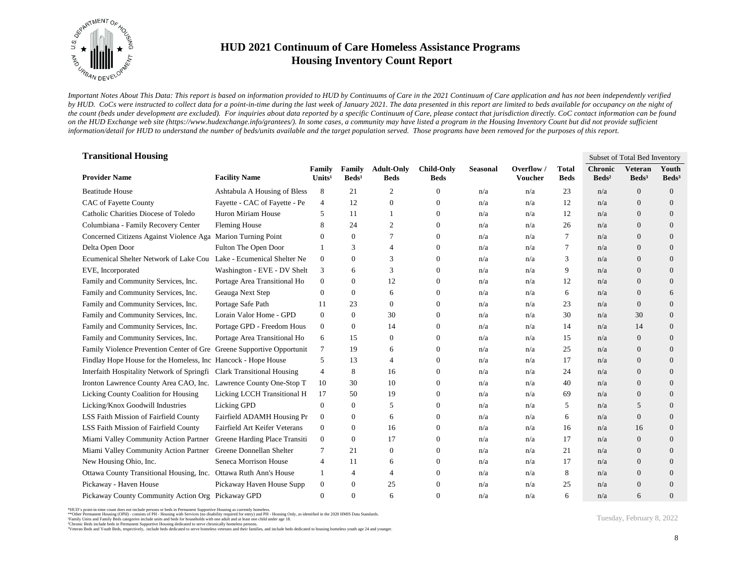

*Important Notes About This Data: This report is based on information provided to HUD by Continuums of Care in the 2021 Continuum of Care application and has not been independently verified*  by HUD. CoCs were instructed to collect data for a point-in-time during the last week of January 2021. The data presented in this report are limited to beds available for occupancy on the night of *the count (beds under development are excluded). For inquiries about data reported by a specific Continuum of Care, please contact that jurisdiction directly. CoC contact information can be found*  on the HUD Exchange web site (https://www.hudexchange.info/grantees/). In some cases, a community may have listed a program in the Housing Inventory Count but did not provide sufficient *information/detail for HUD to understand the number of beds/units available and the target population served. Those programs have been removed for the purposes of this report.*

| <b>Transitional Housing</b>                                           |                               |                              |                           |                                  |                                  |                 |                       |                             |                                     | Subset of Total Bed Inventory       |                          |
|-----------------------------------------------------------------------|-------------------------------|------------------------------|---------------------------|----------------------------------|----------------------------------|-----------------|-----------------------|-----------------------------|-------------------------------------|-------------------------------------|--------------------------|
| <b>Provider Name</b>                                                  | <b>Facility Name</b>          | Family<br>Units <sup>1</sup> | Family<br>$\text{Beds}^1$ | <b>Adult-Only</b><br><b>Beds</b> | <b>Child-Only</b><br><b>Beds</b> | <b>Seasonal</b> | Overflow /<br>Voucher | <b>Total</b><br><b>Beds</b> | <b>Chronic</b><br>Beds <sup>2</sup> | <b>Veteran</b><br>Beds <sup>3</sup> | Youth<br>$\text{Beds}^3$ |
| <b>Beatitude House</b>                                                | Ashtabula A Housing of Bless  | 8                            | 21                        | $\overline{2}$                   | 0                                | n/a             | n/a                   | 23                          | n/a                                 | $\overline{0}$                      | $\mathbf{0}$             |
| CAC of Fayette County                                                 | Fayette - CAC of Fayette - Pe | $\overline{4}$               | 12                        | $\mathbf{0}$                     | 0                                | n/a             | n/a                   | 12                          | n/a                                 | $\overline{0}$                      | $\overline{0}$           |
| Catholic Charities Diocese of Toledo                                  | Huron Miriam House            | 5                            | 11                        | $\overline{1}$                   | $\mathbf{0}$                     | n/a             | n/a                   | 12                          | n/a                                 | $\overline{0}$                      | $\overline{0}$           |
| Columbiana - Family Recovery Center                                   | <b>Fleming House</b>          | 8                            | 24                        | 2                                | $\mathbf{0}$                     | n/a             | n/a                   | 26                          | n/a                                 | $\Omega$                            | $\overline{0}$           |
| Concerned Citizens Against Violence Aga                               | <b>Marion Turning Point</b>   | $\theta$                     | $\overline{0}$            | 7                                | $\overline{0}$                   | n/a             | n/a                   | 7                           | n/a                                 | $\overline{0}$                      | $\overline{0}$           |
| Delta Open Door                                                       | Fulton The Open Door          | -1                           | 3                         | $\overline{4}$                   | $\overline{0}$                   | n/a             | n/a                   | 7                           | n/a                                 | $\overline{0}$                      | $\mathbf{0}$             |
| Ecumenical Shelter Network of Lake Cou Lake - Ecumenical Shelter Ne   |                               | $\mathbf{0}$                 | $\overline{0}$            | 3                                | $\overline{0}$                   | n/a             | n/a                   | 3                           | n/a                                 | $\overline{0}$                      | $\overline{0}$           |
| EVE, Incorporated                                                     | Washington - EVE - DV Shelt   | 3                            | 6                         | 3                                | $\overline{0}$                   | n/a             | n/a                   | 9                           | n/a                                 | $\Omega$                            | $\overline{0}$           |
| Family and Community Services, Inc.                                   | Portage Area Transitional Ho  | $\boldsymbol{0}$             | 0                         | 12                               | $\overline{0}$                   | n/a             | n/a                   | 12                          | n/a                                 | $\overline{0}$                      | $\overline{0}$           |
| Family and Community Services, Inc.                                   | Geauga Next Step              | $\mathbf{0}$                 | $\overline{0}$            | 6                                | $\overline{0}$                   | n/a             | n/a                   | 6                           | n/a                                 | $\overline{0}$                      | 6                        |
| Family and Community Services, Inc.                                   | Portage Safe Path             | 11                           | 23                        | $\theta$                         | $\overline{0}$                   | n/a             | n/a                   | 23                          | n/a                                 | $\overline{0}$                      | $\overline{0}$           |
| Family and Community Services, Inc.                                   | Lorain Valor Home - GPD       | $\overline{0}$               | $\Omega$                  | 30                               | $\overline{0}$                   | n/a             | n/a                   | 30                          | n/a                                 | 30                                  | $\overline{0}$           |
| Family and Community Services, Inc.                                   | Portage GPD - Freedom Hous    | $\boldsymbol{0}$             | 0                         | 14                               | $\overline{0}$                   | n/a             | n/a                   | 14                          | n/a                                 | 14                                  | $\overline{0}$           |
| Family and Community Services, Inc.                                   | Portage Area Transitional Ho  | 6                            | 15                        | $\boldsymbol{0}$                 | $\overline{0}$                   | n/a             | n/a                   | 15                          | n/a                                 | $\overline{0}$                      | $\overline{0}$           |
| Family Violence Prevention Center of Gre Greene Supportive Opportunit |                               | $\tau$                       | 19                        | 6                                | 0                                | n/a             | n/a                   | 25                          | n/a                                 | $\overline{0}$                      | $\overline{0}$           |
| Findlay Hope House for the Homeless, Inc Hancock - Hope House         |                               | 5                            | 13                        | $\overline{4}$                   | $\mathbf{0}$                     | n/a             | n/a                   | 17                          | n/a                                 | $\overline{0}$                      | $\overline{0}$           |
| Interfaith Hospitality Network of Springfi Clark Transitional Housing |                               | $\overline{4}$               | 8                         | 16                               | $\Omega$                         | n/a             | n/a                   | 24                          | n/a                                 | $\Omega$                            | $\overline{0}$           |
| Ironton Lawrence County Area CAO, Inc. Lawrence County One-Stop T     |                               | 10                           | 30                        | 10                               | $\overline{0}$                   | n/a             | n/a                   | 40                          | n/a                                 | $\overline{0}$                      | $\overline{0}$           |
| Licking County Coalition for Housing                                  | Licking LCCH Transitional H   | 17                           | 50                        | 19                               | 0                                | n/a             | n/a                   | 69                          | n/a                                 | $\boldsymbol{0}$                    | $\mathbf{0}$             |
| Licking/Knox Goodwill Industries                                      | Licking GPD                   | $\boldsymbol{0}$             | $\overline{0}$            | 5                                | $\overline{0}$                   | n/a             | n/a                   | 5                           | n/a                                 | 5                                   | $\overline{0}$           |
| LSS Faith Mission of Fairfield County                                 | Fairfield ADAMH Housing Pr    | $\boldsymbol{0}$             | $\overline{0}$            | 6                                | $\mathbf{0}$                     | n/a             | n/a                   | 6                           | n/a                                 | $\overline{0}$                      | $\overline{0}$           |
| LSS Faith Mission of Fairfield County                                 | Fairfield Art Keifer Veterans | $\mathbf{0}$                 | 0                         | 16                               | $\mathbf{0}$                     | n/a             | n/a                   | 16                          | n/a                                 | 16                                  | $\overline{0}$           |
| Miami Valley Community Action Partner                                 | Greene Harding Place Transiti | $\mathbf{0}$                 | $\overline{0}$            | 17                               | $\overline{0}$                   | n/a             | n/a                   | 17                          | n/a                                 | $\overline{0}$                      | $\mathbf{0}$             |
| Miami Valley Community Action Partner Greene Donnellan Shelter        |                               | 7                            | 21                        | $\overline{0}$                   | $\overline{0}$                   | n/a             | n/a                   | 21                          | n/a                                 | $\overline{0}$                      | $\overline{0}$           |
| New Housing Ohio, Inc.                                                | Seneca Morrison House         | $\overline{4}$               | 11                        | 6                                | $\overline{0}$                   | n/a             | n/a                   | 17                          | n/a                                 | $\overline{0}$                      | $\overline{0}$           |
| Ottawa County Transitional Housing, Inc. Ottawa Ruth Ann's House      |                               | 1                            | 4                         | $\overline{4}$                   | $\mathbf{0}$                     | n/a             | n/a                   | 8                           | n/a                                 | $\overline{0}$                      | $\overline{0}$           |
| Pickaway - Haven House                                                | Pickaway Haven House Supp     | $\boldsymbol{0}$             | $\overline{0}$            | 25                               | $\overline{0}$                   | n/a             | n/a                   | 25                          | n/a                                 | $\overline{0}$                      | $\overline{0}$           |
| Pickaway County Community Action Org Pickaway GPD                     |                               | $\theta$                     | $\Omega$                  | 6                                | $\Omega$                         | n/a             | n/a                   | 6                           | n/a                                 | 6                                   | $\overline{0}$           |

<sup>\*</sup>HUD's point-in-time count does not include persons or beds in Permanent Supportive Housing as currently homeless.<br>\*\*Other Permanent Housing (OPH) - consists of PH - Housing with Services (no disability required for entry)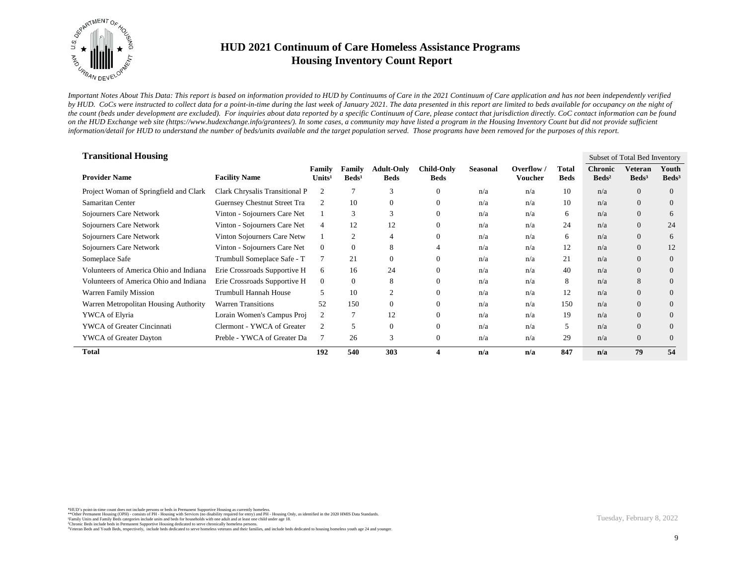

*Important Notes About This Data: This report is based on information provided to HUD by Continuums of Care in the 2021 Continuum of Care application and has not been independently verified*  by HUD. CoCs were instructed to collect data for a point-in-time during the last week of January 2021. The data presented in this report are limited to beds available for occupancy on the night of *the count (beds under development are excluded). For inquiries about data reported by a specific Continuum of Care, please contact that jurisdiction directly. CoC contact information can be found*  on the HUD Exchange web site (https://www.hudexchange.info/grantees/). In some cases, a community may have listed a program in the Housing Inventory Count but did not provide sufficient *information/detail for HUD to understand the number of beds/units available and the target population served. Those programs have been removed for the purposes of this report.*

| <b>Transitional Housing</b>            |                                |                              |                           |                                  |                                  |          |                                       |                      |                                     | Subset of Total Bed Inventory |                            |
|----------------------------------------|--------------------------------|------------------------------|---------------------------|----------------------------------|----------------------------------|----------|---------------------------------------|----------------------|-------------------------------------|-------------------------------|----------------------------|
| <b>Provider Name</b>                   | <b>Facility Name</b>           | Family<br>Units <sup>1</sup> | Family<br>$\text{Beds}^1$ | <b>Adult-Only</b><br><b>Beds</b> | <b>Child-Only</b><br><b>Beds</b> | Seasonal | Overflow $\sqrt{ }$<br><b>Voucher</b> | Total<br><b>Beds</b> | <b>Chronic</b><br>Beds <sup>2</sup> | Veteran<br>Beds <sup>3</sup>  | Youth<br>Beds <sup>3</sup> |
| Project Woman of Springfield and Clark | Clark Chrysalis Transitional P | $\overline{c}$               |                           | 3                                | $\theta$                         | n/a      | n/a                                   | 10                   | n/a                                 | $\overline{0}$                | $\overline{0}$             |
| Samaritan Center                       | Guernsey Chestnut Street Tra   | $\overline{c}$               | 10                        | $\theta$                         | $\theta$                         | n/a      | n/a                                   | 10                   | n/a                                 | $\overline{0}$                | $\overline{0}$             |
| Sojourners Care Network                | Vinton - Sojourners Care Net   |                              | 3                         | 3                                | $\theta$                         | n/a      | n/a                                   | 6                    | n/a                                 | $\overline{0}$                | 6                          |
| Sojourners Care Network                | Vinton - Sojourners Care Net   | 4                            | 12                        | 12                               | $\Omega$                         | n/a      | n/a                                   | 24                   | n/a                                 | $\overline{0}$                | 24                         |
| Sojourners Care Network                | Vinton Sojourners Care Netw    |                              | 2                         | $\overline{4}$                   | $\Omega$                         | n/a      | n/a                                   | 6                    | n/a                                 | $\overline{0}$                | 6                          |
| Sojourners Care Network                | Vinton - Sojourners Care Net   | $\overline{0}$               | $\Omega$                  | 8                                | 4                                | n/a      | n/a                                   | 12                   | n/a                                 | $\overline{0}$                | 12                         |
| Someplace Safe                         | Trumbull Someplace Safe - T    | 7                            | 21                        | $\mathbf{0}$                     | $\Omega$                         | n/a      | n/a                                   | 21                   | n/a                                 | $\overline{0}$                | $\overline{0}$             |
| Volunteers of America Ohio and Indiana | Erie Crossroads Supportive H   | 6                            | 16                        | 24                               | $\Omega$                         | n/a      | n/a                                   | 40                   | n/a                                 | $\overline{0}$                | $\overline{0}$             |
| Volunteers of America Ohio and Indiana | Erie Crossroads Supportive H   | $\overline{0}$               | $\overline{0}$            | 8                                | $\Omega$                         | n/a      | n/a                                   | 8                    | n/a                                 | 8                             | $\Omega$                   |
| <b>Warren Family Mission</b>           | Trumbull Hannah House          | 5.                           | 10                        | $\overline{2}$                   | $\Omega$                         | n/a      | n/a                                   | 12                   | n/a                                 | $\overline{0}$                | $\overline{0}$             |
| Warren Metropolitan Housing Authority  | <b>Warren Transitions</b>      | 52                           | 150                       | $\theta$                         | $\Omega$                         | n/a      | n/a                                   | 150                  | n/a                                 | $\overline{0}$                | $\overline{0}$             |
| YWCA of Elyria                         | Lorain Women's Campus Proj     | $\overline{2}$               |                           | 12                               | $\Omega$                         | n/a      | n/a                                   | 19                   | n/a                                 | $\overline{0}$                | $\overline{0}$             |
| <b>YWCA</b> of Greater Cincinnati      | Clermont - YWCA of Greater     | $\overline{c}$               | 5                         | $\boldsymbol{0}$                 | $\overline{0}$                   | n/a      | n/a                                   | 5                    | n/a                                 | $\overline{0}$                | $\overline{0}$             |
| <b>YWCA</b> of Greater Dayton          | Preble - YWCA of Greater Da    | 7                            | 26                        | 3                                | $\overline{0}$                   | n/a      | n/a                                   | 29                   | n/a                                 | $\overline{0}$                | $\Omega$                   |
| <b>Total</b>                           |                                | 192                          | 540                       | 303                              | $\overline{\mathbf{4}}$          | n/a      | n/a                                   | 847                  | n/a                                 | 79                            | 54                         |

\*HUD's point-in-time count does not include persons or beds in Permanent Supportive Housing as currently homeless.<br>\*\*Other Permanent Housing (OPH) - consists of PH - Housing with Services (no disability required for entry)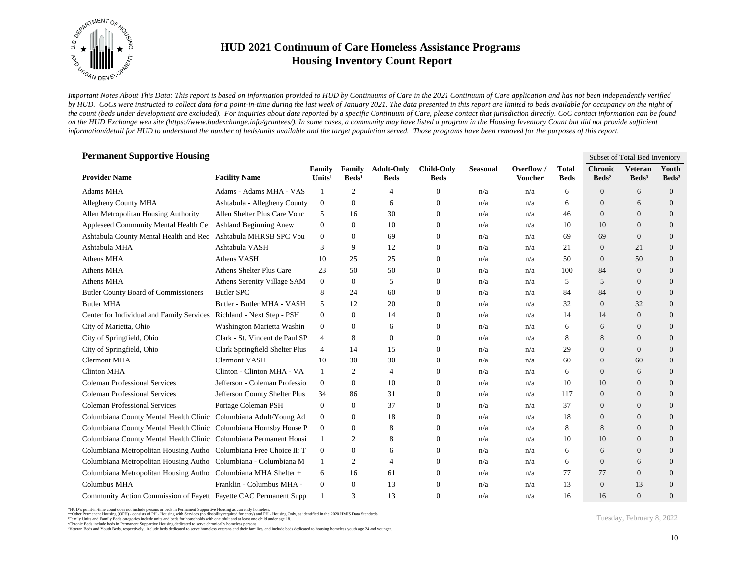

*Important Notes About This Data: This report is based on information provided to HUD by Continuums of Care in the 2021 Continuum of Care application and has not been independently verified*  by HUD. CoCs were instructed to collect data for a point-in-time during the last week of January 2021. The data presented in this report are limited to beds available for occupancy on the night of *the count (beds under development are excluded). For inquiries about data reported by a specific Continuum of Care, please contact that jurisdiction directly. CoC contact information can be found*  on the HUD Exchange web site (https://www.hudexchange.info/grantees/). In some cases, a community may have listed a program in the Housing Inventory Count but did not provide sufficient *information/detail for HUD to understand the number of beds/units available and the target population served. Those programs have been removed for the purposes of this report.*

| <b>Permanent Supportive Housing</b>                                | Subset of Total Bed Inventory  |                              |                           |                                  |                                  |                 |                       |                             |                                   |                                     |                          |  |  |  |
|--------------------------------------------------------------------|--------------------------------|------------------------------|---------------------------|----------------------------------|----------------------------------|-----------------|-----------------------|-----------------------------|-----------------------------------|-------------------------------------|--------------------------|--|--|--|
| <b>Provider Name</b>                                               | <b>Facility Name</b>           | Family<br>Units <sup>1</sup> | Family<br>$\text{Beds}^1$ | <b>Adult-Only</b><br><b>Beds</b> | <b>Child-Only</b><br><b>Beds</b> | <b>Seasonal</b> | Overflow /<br>Voucher | <b>Total</b><br><b>Beds</b> | <b>Chronic</b><br>$\text{Beds}^2$ | <b>Veteran</b><br>Beds <sup>3</sup> | Youth<br>$\text{Beds}^3$ |  |  |  |
| <b>Adams MHA</b>                                                   | Adams - Adams MHA - VAS        | -1                           | $\mathfrak{2}$            | $\overline{4}$                   | $\mathbf{0}$                     | n/a             | n/a                   | 6                           | $\overline{0}$                    | 6                                   | $\overline{0}$           |  |  |  |
| Allegheny County MHA                                               | Ashtabula - Allegheny County   | $\boldsymbol{0}$             | $\overline{0}$            | 6                                | $\boldsymbol{0}$                 | n/a             | n/a                   | 6                           | $\theta$                          | 6                                   | $\overline{0}$           |  |  |  |
| Allen Metropolitan Housing Authority                               | Allen Shelter Plus Care Vouc   | 5                            | 16                        | 30                               | $\overline{0}$                   | n/a             | n/a                   | 46                          | $\Omega$                          | $\Omega$                            | $\overline{0}$           |  |  |  |
| Appleseed Community Mental Health Ce                               | <b>Ashland Beginning Anew</b>  | $\mathbf{0}$                 | $\Omega$                  | 10                               | $\mathbf{0}$                     | n/a             | n/a                   | 10                          | 10                                | $\Omega$                            | $\overline{0}$           |  |  |  |
| Ashtabula County Mental Health and Rec Ashtabula MHRSB SPC Vou     |                                | $\overline{0}$               | $\Omega$                  | 69                               | $\overline{0}$                   | n/a             | n/a                   | 69                          | 69                                | $\Omega$                            | $\Omega$                 |  |  |  |
| Ashtabula MHA                                                      | Ashtabula VASH                 | 3                            | 9                         | 12                               | $\mathbf{0}$                     | n/a             | n/a                   | 21                          | $\theta$                          | 21                                  | $\overline{0}$           |  |  |  |
| Athens MHA                                                         | Athens VASH                    | 10                           | 25                        | 25                               | $\mathbf{0}$                     | n/a             | n/a                   | 50                          | $\mathbf{0}$                      | 50                                  | $\overline{0}$           |  |  |  |
| Athens MHA                                                         | Athens Shelter Plus Care       | 23                           | 50                        | 50                               | $\overline{0}$                   | n/a             | n/a                   | 100                         | 84                                | $\overline{0}$                      | $\overline{0}$           |  |  |  |
| Athens MHA                                                         | Athens Serenity Village SAM    | $\mathbf{0}$                 | $\overline{0}$            | 5                                | $\mathbf{0}$                     | n/a             | n/a                   | 5                           | 5                                 | $\Omega$                            | $\overline{0}$           |  |  |  |
| <b>Butler County Board of Commissioners</b>                        | Butler SPC                     | 8                            | 24                        | 60                               | $\mathbf{0}$                     | n/a             | n/a                   | 84                          | 84                                | $\overline{0}$                      | $\overline{0}$           |  |  |  |
| <b>Butler MHA</b>                                                  | Butler - Butler MHA - VASH     | 5                            | 12                        | 20                               | $\mathbf{0}$                     | n/a             | n/a                   | 32                          | $\mathbf{0}$                      | 32                                  | $\overline{0}$           |  |  |  |
| Center for Individual and Family Services                          | Richland - Next Step - PSH     | $\overline{0}$               | $\overline{0}$            | 14                               | $\overline{0}$                   | n/a             | n/a                   | 14                          | 14                                | $\overline{0}$                      | $\overline{0}$           |  |  |  |
| City of Marietta, Ohio                                             | Washington Marietta Washin     | $\boldsymbol{0}$             | 0                         | 6                                | $\mathbf{0}$                     | n/a             | n/a                   | 6                           | 6                                 | $\overline{0}$                      | $\overline{0}$           |  |  |  |
| City of Springfield, Ohio                                          | Clark - St. Vincent de Paul SP | 4                            | 8                         | $\boldsymbol{0}$                 | 0                                | n/a             | n/a                   | 8                           | 8                                 | $\overline{0}$                      | $\overline{0}$           |  |  |  |
| City of Springfield, Ohio                                          | Clark Springfield Shelter Plus | 4                            | 14                        | 15                               | $\Omega$                         | n/a             | n/a                   | 29                          | $\Omega$                          | $\Omega$                            | $\overline{0}$           |  |  |  |
| <b>Clermont MHA</b>                                                | <b>Clermont VASH</b>           | 10                           | 30                        | 30                               | $\mathbf{0}$                     | n/a             | n/a                   | 60                          | $\theta$                          | 60                                  | $\overline{0}$           |  |  |  |
| Clinton MHA                                                        | Clinton - Clinton MHA - VA     | 1                            | 2                         | $\overline{4}$                   | $\overline{0}$                   | n/a             | n/a                   | 6                           | $\mathbf{0}$                      | 6                                   | $\overline{0}$           |  |  |  |
| <b>Coleman Professional Services</b>                               | Jefferson - Coleman Professio  | $\overline{0}$               | $\overline{0}$            | 10                               | $\mathbf{0}$                     | n/a             | n/a                   | 10                          | 10                                | $\overline{0}$                      | $\overline{0}$           |  |  |  |
| <b>Coleman Professional Services</b>                               | Jefferson County Shelter Plus  | 34                           | 86                        | 31                               | $\mathbf{0}$                     | n/a             | n/a                   | 117                         | $\mathbf{0}$                      | $\overline{0}$                      | $\overline{0}$           |  |  |  |
| <b>Coleman Professional Services</b>                               | Portage Coleman PSH            | $\mathbf{0}$                 | $\overline{0}$            | 37                               | $\overline{0}$                   | n/a             | n/a                   | 37                          | $\theta$                          | $\Omega$                            | $\overline{0}$           |  |  |  |
| Columbiana County Mental Health Clinic Columbiana Adult/Young Ad   |                                | $\boldsymbol{0}$             | $\overline{0}$            | 18                               | $\mathbf{0}$                     | n/a             | n/a                   | 18                          | $\theta$                          | $\Omega$                            | $\Omega$                 |  |  |  |
| Columbiana County Mental Health Clinic Columbiana Hornsby House P  |                                | $\boldsymbol{0}$             | $\overline{0}$            | 8                                | $\mathbf{0}$                     | n/a             | n/a                   | 8                           | 8                                 | $\overline{0}$                      | $\overline{0}$           |  |  |  |
| Columbiana County Mental Health Clinic Columbiana Permanent Housi  |                                | 1                            | 2                         | 8                                | $\mathbf{0}$                     | n/a             | n/a                   | 10                          | 10                                | $\overline{0}$                      | $\overline{0}$           |  |  |  |
| Columbiana Metropolitan Housing Autho Columbiana Free Choice II: T |                                | $\mathbf{0}$                 | $\overline{0}$            | 6                                | $\theta$                         | n/a             | n/a                   | 6                           | 6                                 | $\overline{0}$                      | $\overline{0}$           |  |  |  |
| Columbiana Metropolitan Housing Autho Columbiana - Columbiana M    |                                | 1                            | 2                         | $\overline{4}$                   | $\mathbf{0}$                     | n/a             | n/a                   | 6                           | $\theta$                          | 6                                   | $\overline{0}$           |  |  |  |
| Columbiana Metropolitan Housing Autho Columbiana MHA Shelter +     |                                | 6                            | 16                        | 61                               | $\mathbf{0}$                     | n/a             | n/a                   | 77                          | 77                                | $\overline{0}$                      | $\overline{0}$           |  |  |  |
| <b>Columbus MHA</b>                                                | Franklin - Columbus MHA -      | $\mathbf{0}$                 | $\overline{0}$            | 13                               | $\Omega$                         | n/a             | n/a                   | 13                          | $\Omega$                          | 13                                  | $\Omega$                 |  |  |  |
| Community Action Commission of Fayett Fayette CAC Permanent Supp   |                                |                              | 3                         | 13                               | $\Omega$                         | n/a             | n/a                   | 16                          | 16                                | $\Omega$                            | $\overline{0}$           |  |  |  |

<sup>\*</sup>HUD's point-in-time count does not include persons or beds in Permanent Supportive Housing as currently homeless.<br>\*\*Other Permanent Housing (OPH) - consists of PH - Housing with Services (no disability required for entry)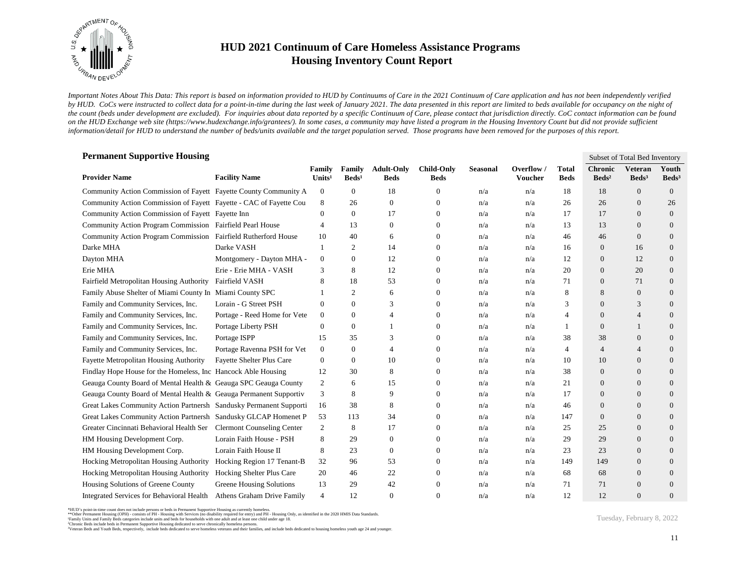

*Important Notes About This Data: This report is based on information provided to HUD by Continuums of Care in the 2021 Continuum of Care application and has not been independently verified*  by HUD. CoCs were instructed to collect data for a point-in-time during the last week of January 2021. The data presented in this report are limited to beds available for occupancy on the night of *the count (beds under development are excluded). For inquiries about data reported by a specific Continuum of Care, please contact that jurisdiction directly. CoC contact information can be found*  on the HUD Exchange web site (https://www.hudexchange.info/grantees/). In some cases, a community may have listed a program in the Housing Inventory Count but did not provide sufficient *information/detail for HUD to understand the number of beds/units available and the target population served. Those programs have been removed for the purposes of this report.*

| <b>Permanent Supportive Housing</b>                                 | Subset of Total Bed Inventory<br><b>Chronic</b><br><b>Adult-Only</b><br><b>Child-Only</b><br>Overflow /<br><b>Veteran</b><br>Youth<br>Family<br>Family<br><b>Seasonal</b><br><b>Total</b> |                    |                  |                |                  |     |         |                |                 |                   |                   |  |  |  |
|---------------------------------------------------------------------|-------------------------------------------------------------------------------------------------------------------------------------------------------------------------------------------|--------------------|------------------|----------------|------------------|-----|---------|----------------|-----------------|-------------------|-------------------|--|--|--|
| <b>Provider Name</b>                                                | <b>Facility Name</b>                                                                                                                                                                      | Units <sup>1</sup> | $\text{Beds}^1$  | <b>Beds</b>    | <b>Beds</b>      |     | Voucher | <b>Beds</b>    | $\text{Beds}^2$ | Beds <sup>3</sup> | Beds <sup>3</sup> |  |  |  |
| Community Action Commission of Fayett Fayette County Community A    |                                                                                                                                                                                           | $\boldsymbol{0}$   | 0                | 18             | 0                | n/a | n/a     | 18             | 18              | $\overline{0}$    | $\overline{0}$    |  |  |  |
| Community Action Commission of Fayett Fayette - CAC of Fayette Cou  |                                                                                                                                                                                           | 8                  | 26               | $\overline{0}$ | $\mathbf{0}$     | n/a | n/a     | 26             | 26              | $\Omega$          | 26                |  |  |  |
| Community Action Commission of Fayett Fayette Inn                   |                                                                                                                                                                                           | $\overline{0}$     | $\overline{0}$   | 17             | $\overline{0}$   | n/a | n/a     | 17             | 17              | $\overline{0}$    | $\mathbf{0}$      |  |  |  |
| Community Action Program Commission Fairfield Pearl House           |                                                                                                                                                                                           | $\overline{4}$     | 13               | $\mathbf{0}$   | $\mathbf{0}$     | n/a | n/a     | 13             | 13              | $\overline{0}$    | $\mathbf{0}$      |  |  |  |
| Community Action Program Commission Fairfield Rutherford House      |                                                                                                                                                                                           | 10                 | 40               | 6              | $\mathbf{0}$     | n/a | n/a     | 46             | 46              | $\overline{0}$    | $\overline{0}$    |  |  |  |
| Darke MHA                                                           | Darke VASH                                                                                                                                                                                | -1                 | 2                | 14             | $\mathbf{0}$     | n/a | n/a     | 16             | $\overline{0}$  | 16                | $\overline{0}$    |  |  |  |
| Dayton MHA                                                          | Montgomery - Dayton MHA -                                                                                                                                                                 | $\mathbf{0}$       | $\boldsymbol{0}$ | 12             | 0                | n/a | n/a     | 12             | $\mathbf{0}$    | 12                | $\overline{0}$    |  |  |  |
| Erie MHA                                                            | Erie - Erie MHA - VASH                                                                                                                                                                    | 3                  | 8                | 12             | $\mathbf{0}$     | n/a | n/a     | 20             | $\theta$        | 20                | $\overline{0}$    |  |  |  |
| Fairfield Metropolitan Housing Authority                            | Fairfield VASH                                                                                                                                                                            | 8                  | 18               | 53             | $\mathbf{0}$     | n/a | n/a     | 71             | $\theta$        | 71                | $\overline{0}$    |  |  |  |
| Family Abuse Shelter of Miami County In Miami County SPC            |                                                                                                                                                                                           |                    | 2                | 6              | $\mathbf{0}$     | n/a | n/a     | 8              | 8               | $\overline{0}$    | $\overline{0}$    |  |  |  |
| Family and Community Services, Inc.                                 | Lorain - G Street PSH                                                                                                                                                                     | $\mathbf{0}$       | $\overline{0}$   | 3              | $\mathbf{0}$     | n/a | n/a     | 3              | $\mathbf{0}$    | 3                 | $\mathbf{0}$      |  |  |  |
| Family and Community Services, Inc.                                 | Portage - Reed Home for Vete                                                                                                                                                              | $\mathbf{0}$       | $\overline{0}$   | $\overline{4}$ | 0                | n/a | n/a     | 4              | $\overline{0}$  | $\overline{4}$    | $\overline{0}$    |  |  |  |
| Family and Community Services, Inc.                                 | Portage Liberty PSH                                                                                                                                                                       | $\overline{0}$     | 0                |                | $\mathbf{0}$     | n/a | n/a     | 1              | $\overline{0}$  | 1                 | $\overline{0}$    |  |  |  |
| Family and Community Services, Inc.                                 | Portage ISPP                                                                                                                                                                              | 15                 | 35               | 3              | $\boldsymbol{0}$ | n/a | n/a     | 38             | 38              | $\overline{0}$    | $\overline{0}$    |  |  |  |
| Family and Community Services, Inc.                                 | Portage Ravenna PSH for Vet                                                                                                                                                               | $\overline{0}$     | $\overline{0}$   | $\overline{4}$ | $\Omega$         | n/a | n/a     | $\overline{4}$ | $\overline{4}$  | $\overline{4}$    | $\overline{0}$    |  |  |  |
| <b>Fayette Metropolitan Housing Authority</b>                       | <b>Fayette Shelter Plus Care</b>                                                                                                                                                          | $\mathbf{0}$       | $\overline{0}$   | 10             | $\mathbf{0}$     | n/a | n/a     | 10             | 10              | $\overline{0}$    | $\overline{0}$    |  |  |  |
| Findlay Hope House for the Homeless, Inc Hancock Able Housing       |                                                                                                                                                                                           | 12                 | 30               | 8              | $\overline{0}$   | n/a | n/a     | 38             | $\theta$        | $\overline{0}$    | $\mathbf{0}$      |  |  |  |
| Geauga County Board of Mental Health & Geauga SPC Geauga County     |                                                                                                                                                                                           | $\overline{2}$     | 6                | 15             | $\overline{0}$   | n/a | n/a     | 21             | $\theta$        | $\overline{0}$    | $\overline{0}$    |  |  |  |
| Geauga County Board of Mental Health & Geauga Permanent Supportiv   |                                                                                                                                                                                           | 3                  | 8                | 9              | $\overline{0}$   | n/a | n/a     | 17             | $\theta$        | $\overline{0}$    | $\overline{0}$    |  |  |  |
| Great Lakes Community Action Partnersh Sandusky Permanent Supporti  |                                                                                                                                                                                           | 16                 | 38               | 8              | $\overline{0}$   | n/a | n/a     | 46             | $\theta$        | $\overline{0}$    | $\overline{0}$    |  |  |  |
| Great Lakes Community Action Partnersh Sandusky GLCAP Homenet P     |                                                                                                                                                                                           | 53                 | 113              | 34             | $\mathbf{0}$     | n/a | n/a     | 147            | $\theta$        | $\overline{0}$    | $\overline{0}$    |  |  |  |
| Greater Cincinnati Behavioral Health Ser Clermont Counseling Center |                                                                                                                                                                                           | 2                  | 8                | 17             | $\Omega$         | n/a | n/a     | 25             | 25              | $\Omega$          | $\overline{0}$    |  |  |  |
| HM Housing Development Corp.                                        | Lorain Faith House - PSH                                                                                                                                                                  | 8                  | 29               | $\mathbf{0}$   | $\overline{0}$   | n/a | n/a     | 29             | 29              | $\overline{0}$    | $\mathbf{0}$      |  |  |  |
| HM Housing Development Corp.                                        | Lorain Faith House II                                                                                                                                                                     | 8                  | 23               | $\mathbf{0}$   | 0                | n/a | n/a     | 23             | 23              | $\overline{0}$    | $\overline{0}$    |  |  |  |
| Hocking Metropolitan Housing Authority                              | Hocking Region 17 Tenant-B                                                                                                                                                                | 32                 | 96               | 53             | $\overline{0}$   | n/a | n/a     | 149            | 149             | $\Omega$          | $\overline{0}$    |  |  |  |
| <b>Hocking Metropolitan Housing Authority</b>                       | <b>Hocking Shelter Plus Care</b>                                                                                                                                                          | 20                 | 46               | 22             | $\overline{0}$   | n/a | n/a     | 68             | 68              | $\overline{0}$    | $\overline{0}$    |  |  |  |
| Housing Solutions of Greene County                                  | Greene Housing Solutions                                                                                                                                                                  | 13                 | 29               | 42             | $\Omega$         | n/a | n/a     | 71             | 71              | $\overline{0}$    | $\overline{0}$    |  |  |  |
| Integrated Services for Behavioral Health                           | Athens Graham Drive Family                                                                                                                                                                | $\overline{4}$     | 12               | $\Omega$       | $\Omega$         | n/a | n/a     | 12             | 12              | $\Omega$          | $\overline{0}$    |  |  |  |

<sup>\*</sup>HUD's point-in-time count does not include persons or beds in Permanent Supportive Housing as currently homeless.<br>\*\*Other Permanent Housing (OPH) - consists of PH - Housing with Services (no disability required for entry)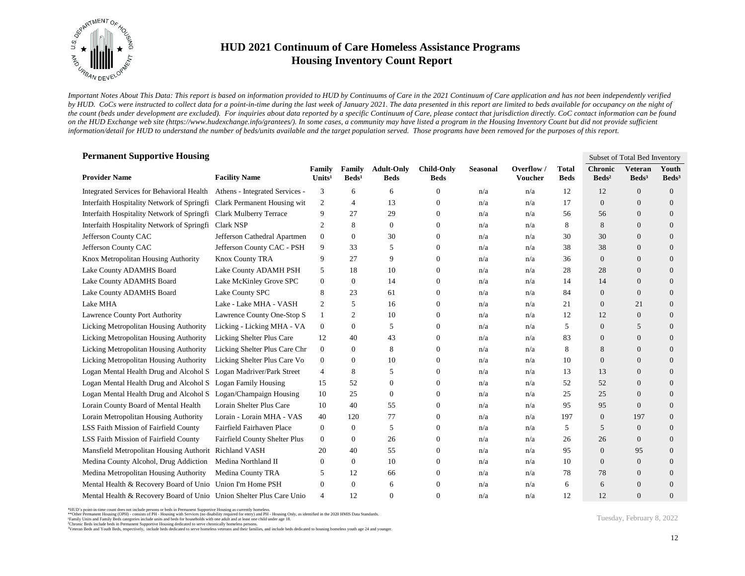

*Important Notes About This Data: This report is based on information provided to HUD by Continuums of Care in the 2021 Continuum of Care application and has not been independently verified*  by HUD. CoCs were instructed to collect data for a point-in-time during the last week of January 2021. The data presented in this report are limited to beds available for occupancy on the night of *the count (beds under development are excluded). For inquiries about data reported by a specific Continuum of Care, please contact that jurisdiction directly. CoC contact information can be found*  on the HUD Exchange web site (https://www.hudexchange.info/grantees/). In some cases, a community may have listed a program in the Housing Inventory Count but did not provide sufficient *information/detail for HUD to understand the number of beds/units available and the target population served. Those programs have been removed for the purposes of this report.*

| <b>Permanent Supportive Housing</b><br>Subset of Total Bed Inventory |                                |                              |                           |                                  |                                  |          |                              |                             |                                   |                                     |                            |  |  |
|----------------------------------------------------------------------|--------------------------------|------------------------------|---------------------------|----------------------------------|----------------------------------|----------|------------------------------|-----------------------------|-----------------------------------|-------------------------------------|----------------------------|--|--|
| <b>Provider Name</b>                                                 | <b>Facility Name</b>           | Family<br>Units <sup>1</sup> | Family<br>$\text{Beds}^1$ | <b>Adult-Only</b><br><b>Beds</b> | <b>Child-Only</b><br><b>Beds</b> | Seasonal | Overflow /<br><b>Voucher</b> | <b>Total</b><br><b>Beds</b> | <b>Chronic</b><br>$\text{Beds}^2$ | <b>Veteran</b><br>Beds <sup>3</sup> | Youth<br>Beds <sup>3</sup> |  |  |
| Integrated Services for Behavioral Health                            | Athens - Integrated Services - | 3                            | 6                         | 6                                | $\theta$                         | n/a      | n/a                          | 12                          | 12                                | $\theta$                            | $\overline{0}$             |  |  |
| Interfaith Hospitality Network of Springfi                           | Clark Permanent Housing wit    | 2                            | $\overline{4}$            | 13                               | 0                                | n/a      | n/a                          | 17                          | $\boldsymbol{0}$                  | $\mathbf{0}$                        | $\theta$                   |  |  |
| Interfaith Hospitality Network of Springfi                           | <b>Clark Mulberry Terrace</b>  | 9                            | 27                        | 29                               | $\mathbf{0}$                     | n/a      | n/a                          | 56                          | 56                                | $\overline{0}$                      | $\theta$                   |  |  |
| Interfaith Hospitality Network of Springfi                           | Clark NSP                      | $\mathfrak{2}$               | 8                         | $\mathbf{0}$                     | $\Omega$                         | n/a      | n/a                          | 8                           | 8                                 | $\overline{0}$                      | $\theta$                   |  |  |
| Jefferson County CAC                                                 | Jefferson Cathedral Apartmen   | $\overline{0}$               | $\mathbf{0}$              | 30                               | $\Omega$                         | n/a      | n/a                          | 30                          | 30                                | $\overline{0}$                      | $\theta$                   |  |  |
| Jefferson County CAC                                                 | Jefferson County CAC - PSH     | 9                            | 33                        | 5                                | 0                                | n/a      | n/a                          | 38                          | 38                                | $\overline{0}$                      | $\theta$                   |  |  |
| Knox Metropolitan Housing Authority                                  | Knox County TRA                | 9                            | 27                        | 9                                | 0                                | n/a      | n/a                          | 36                          | $\mathbf{0}$                      | $\overline{0}$                      | $\mathbf{0}$               |  |  |
| Lake County ADAMHS Board                                             | Lake County ADAMH PSH          | 5                            | 18                        | 10                               | $\mathbf{0}$                     | n/a      | n/a                          | 28                          | 28                                | $\theta$                            | $\mathbf{0}$               |  |  |
| Lake County ADAMHS Board                                             | Lake McKinley Grove SPC        | $\mathbf{0}$                 | $\boldsymbol{0}$          | 14                               | $\overline{0}$                   | n/a      | n/a                          | 14                          | 14                                | $\overline{0}$                      | $\overline{0}$             |  |  |
| Lake County ADAMHS Board                                             | Lake County SPC                | 8                            | 23                        | 61                               | $\theta$                         | n/a      | n/a                          | 84                          | $\mathbf{0}$                      | $\theta$                            | $\overline{0}$             |  |  |
| Lake MHA                                                             | Lake - Lake MHA - VASH         | 2                            | 5                         | 16                               | $\theta$                         | n/a      | n/a                          | 21                          | $\theta$                          | 21                                  | $\overline{0}$             |  |  |
| Lawrence County Port Authority                                       | Lawrence County One-Stop S     | $\mathbf{1}$                 | $\overline{2}$            | 10                               | $\theta$                         | n/a      | n/a                          | 12                          | 12                                | $\mathbf{0}$                        | $\overline{0}$             |  |  |
| Licking Metropolitan Housing Authority                               | Licking - Licking MHA - VA     | $\mathbf{0}$                 | $\boldsymbol{0}$          | 5                                | $\theta$                         | n/a      | n/a                          | 5                           | $\mathbf{0}$                      | 5                                   | $\mathbf{0}$               |  |  |
| Licking Metropolitan Housing Authority                               | Licking Shelter Plus Care      | 12                           | 40                        | 43                               | 0                                | n/a      | n/a                          | 83                          | $\boldsymbol{0}$                  | $\Omega$                            | $\boldsymbol{0}$           |  |  |
| Licking Metropolitan Housing Authority                               | Licking Shelter Plus Care Chr  | $\mathbf{0}$                 | $\boldsymbol{0}$          | 8                                | $\Omega$                         | n/a      | n/a                          | 8                           | 8                                 | $\overline{0}$                      | $\overline{0}$             |  |  |
| Licking Metropolitan Housing Authority                               | Licking Shelter Plus Care Vo   | $\mathbf{0}$                 | $\boldsymbol{0}$          | 10                               | $\theta$                         | n/a      | n/a                          | 10                          | $\mathbf{0}$                      | $\overline{0}$                      | $\overline{0}$             |  |  |
| Logan Mental Health Drug and Alcohol S Logan Madriver/Park Street    |                                | 4                            | 8                         | 5                                | $\theta$                         | n/a      | n/a                          | 13                          | 13                                | $\mathbf{0}$                        | $\overline{0}$             |  |  |
| Logan Mental Health Drug and Alcohol S                               | <b>Logan Family Housing</b>    | 15                           | 52                        | $\boldsymbol{0}$                 | $\theta$                         | n/a      | n/a                          | 52                          | 52                                | $\overline{0}$                      | $\overline{0}$             |  |  |
| Logan Mental Health Drug and Alcohol S Logan/Champaign Housing       |                                | 10                           | 25                        | $\boldsymbol{0}$                 | 0                                | n/a      | n/a                          | 25                          | 25                                | $\overline{0}$                      | $\boldsymbol{0}$           |  |  |
| Lorain County Board of Mental Health                                 | Lorain Shelter Plus Care       | 10                           | 40                        | 55                               | $\mathbf{0}$                     | n/a      | n/a                          | 95                          | 95                                | $\mathbf{0}$                        | $\overline{0}$             |  |  |
| Lorain Metropolitan Housing Authority                                | Lorain - Lorain MHA - VAS      | 40                           | 120                       | 77                               | $\theta$                         | n/a      | n/a                          | 197                         | $\theta$                          | 197                                 | $\overline{0}$             |  |  |
| LSS Faith Mission of Fairfield County                                | Fairfield Fairhaven Place      | $\overline{0}$               | $\mathbf{0}$              | 5                                | $\mathbf{0}$                     | n/a      | n/a                          | 5                           | 5                                 | $\overline{0}$                      | $\overline{0}$             |  |  |
| LSS Faith Mission of Fairfield County                                | Fairfield County Shelter Plus  | $\mathbf{0}$                 | $\mathbf{0}$              | 26                               | 0                                | n/a      | n/a                          | 26                          | 26                                | $\mathbf{0}$                        | $\overline{0}$             |  |  |
| Mansfield Metropolitan Housing Authorit                              | Richland VASH                  | 20                           | 40                        | 55                               | $\theta$                         | n/a      | n/a                          | 95                          | $\theta$                          | 95                                  | $\overline{0}$             |  |  |
| Medina County Alcohol, Drug Addiction                                | Medina Northland II            | $\mathbf{0}$                 | $\boldsymbol{0}$          | 10                               | 0                                | n/a      | n/a                          | 10                          | $\theta$                          | $\mathbf{0}$                        | $\overline{0}$             |  |  |
| Medina Metropolitan Housing Authority                                | Medina County TRA              | 5                            | 12                        | 66                               | 0                                | n/a      | n/a                          | 78                          | 78                                | $\overline{0}$                      | $\overline{0}$             |  |  |
| Mental Health & Recovery Board of Unio Union I'm Home PSH            |                                | $\mathbf{0}$                 | $\mathbf{0}$              | 6                                | 0                                | n/a      | n/a                          | 6                           | 6                                 | $\Omega$                            | $\overline{0}$             |  |  |
| Mental Health & Recovery Board of Unio Union Shelter Plus Care Unio  |                                | $\overline{4}$               | 12                        | $\Omega$                         | $\theta$                         | n/a      | n/a                          | 12                          | 12                                | $\Omega$                            | $\overline{0}$             |  |  |

<sup>\*</sup>HUD's point-in-time count does not include persons or beds in Permanent Supportive Housing as currently homeless.<br>\*\*Other Permanent Housing (OPH) - consists of PH - Housing with Services (no disability required for entry)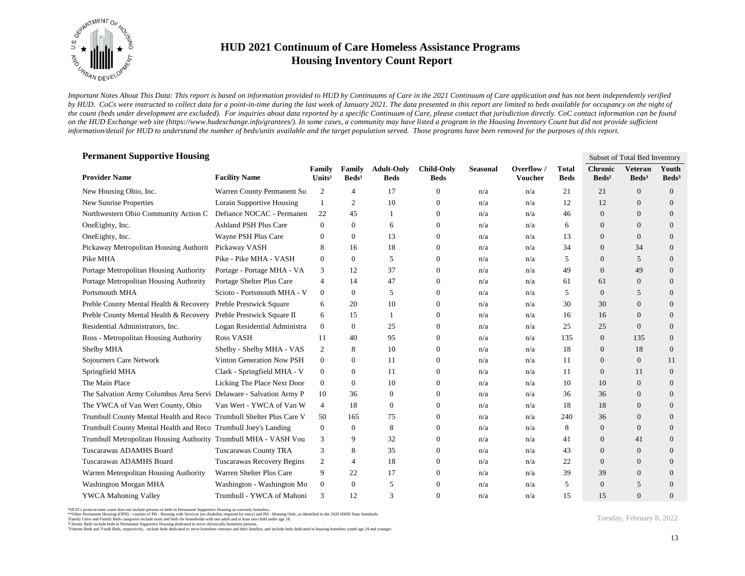

*Important Notes About This Data: This report is based on information provided to HUD by Continuums of Care in the 2021 Continuum of Care application and has not been independently verified*  by HUD. CoCs were instructed to collect data for a point-in-time during the last week of January 2021. The data presented in this report are limited to beds available for occupancy on the night of *the count (beds under development are excluded). For inquiries about data reported by a specific Continuum of Care, please contact that jurisdiction directly. CoC contact information can be found*  on the HUD Exchange web site (https://www.hudexchange.info/grantees/). In some cases, a community may have listed a program in the Housing Inventory Count but did not provide sufficient *information/detail for HUD to understand the number of beds/units available and the target population served. Those programs have been removed for the purposes of this report.*

| <b>Permanent Supportive Housing</b>                                 |                              |                              |                           |                                  |                                  |                 |                       |                      | Subset of Total Bed Inventory     |                                     |                            |  |
|---------------------------------------------------------------------|------------------------------|------------------------------|---------------------------|----------------------------------|----------------------------------|-----------------|-----------------------|----------------------|-----------------------------------|-------------------------------------|----------------------------|--|
| <b>Provider Name</b>                                                | <b>Facility Name</b>         | Family<br>Units <sup>1</sup> | Family<br>$\text{Beds}^1$ | <b>Adult-Only</b><br><b>Beds</b> | <b>Child-Only</b><br><b>Beds</b> | <b>Seasonal</b> | Overflow /<br>Voucher | Total<br><b>Beds</b> | <b>Chronic</b><br>$\text{Beds}^2$ | <b>Veteran</b><br>Beds <sup>3</sup> | Youth<br>Beds <sup>3</sup> |  |
| New Housing Ohio, Inc.                                              | Warren County Permanent Su   | 2                            | 4                         | 17                               | $\mathbf{0}$                     | n/a             | n/a                   | 21                   | 21                                | $\overline{0}$                      | $\overline{0}$             |  |
| New Sunrise Properties                                              | Lorain Supportive Housing    | 1                            | 2                         | 10                               | $\mathbf{0}$                     | n/a             | n/a                   | 12                   | 12                                | $\mathbf{0}$                        | $\overline{0}$             |  |
| Northwestern Ohio Community Action C                                | Defiance NOCAC - Permanen    | 22                           | 45                        | -1                               | $\mathbf{0}$                     | n/a             | n/a                   | 46                   | $\overline{0}$                    | $\Omega$                            | $\overline{0}$             |  |
| OneEighty, Inc.                                                     | Ashland PSH Plus Care        | $\mathbf{0}$                 | $\mathbf{0}$              | 6                                | $\mathbf{0}$                     | n/a             | n/a                   | 6                    | $\overline{0}$                    | $\overline{0}$                      | $\mathbf{0}$               |  |
| OneEighty, Inc.                                                     | Wayne PSH Plus Care          | $\theta$                     | 0                         | 13                               | $\overline{0}$                   | n/a             | n/a                   | 13                   | $\Omega$                          | $\Omega$                            | $\overline{0}$             |  |
| Pickaway Metropolitan Housing Authorit                              | Pickaway VASH                | 8                            | 16                        | 18                               | $\mathbf{0}$                     | n/a             | n/a                   | 34                   | $\theta$                          | 34                                  | $\overline{0}$             |  |
| Pike MHA                                                            | Pike - Pike MHA - VASH       | $\overline{0}$               | 0                         | 5                                | 0                                | n/a             | n/a                   | 5                    | $\theta$                          | 5                                   | $\mathbf{0}$               |  |
| Portage Metropolitan Housing Authority                              | Portage - Portage MHA - VA   | 3                            | 12                        | 37                               | $\mathbf{0}$                     | n/a             | n/a                   | 49                   | $\overline{0}$                    | 49                                  | $\overline{0}$             |  |
| Portage Metropolitan Housing Authority                              | Portage Shelter Plus Care    | $\overline{4}$               | 14                        | 47                               | $\boldsymbol{0}$                 | n/a             | n/a                   | 61                   | 61                                | $\overline{0}$                      | $\overline{0}$             |  |
| Portsmouth MHA                                                      | Scioto - Portsmouth MHA - V  | $\mathbf{0}$                 | $\mathbf{0}$              | 5                                | $\mathbf{0}$                     | n/a             | n/a                   | 5                    | $\overline{0}$                    | 5                                   | $\overline{0}$             |  |
| Preble County Mental Health & Recovery                              | Preble Prestwick Square      | 6                            | 20                        | 10                               | $\mathbf{0}$                     | n/a             | n/a                   | 30                   | 30                                | $\Omega$                            | $\overline{0}$             |  |
| Preble County Mental Health & Recovery                              | Preble Prestwick Square II   | 6                            | 15                        | 1                                | $\overline{0}$                   | n/a             | n/a                   | 16                   | 16                                | $\theta$                            | $\overline{0}$             |  |
| Residential Administrators, Inc.                                    | Logan Residential Administra | $\overline{0}$               | $\mathbf{0}$              | 25                               | $\mathbf{0}$                     | n/a             | n/a                   | 25                   | 25                                | $\theta$                            | $\mathbf{0}$               |  |
| Ross - Metropolitan Housing Authority                               | Ross VASH                    | 11                           | 40                        | 95                               | 0                                | n/a             | n/a                   | 135                  | $\mathbf{0}$                      | 135                                 | $\mathbf{0}$               |  |
| Shelby MHA                                                          | Shelby - Shelby MHA - VAS    | 2                            | 8                         | 10                               | $\Omega$                         | n/a             | n/a                   | 18                   | $\overline{0}$                    | 18                                  | $\overline{0}$             |  |
| Sojourners Care Network                                             | Vinton Generation Now PSH    | $\mathbf{0}$                 | $\overline{0}$            | -11                              | $\mathbf{0}$                     | n/a             | n/a                   | 11                   | $\theta$                          | $\mathbf{0}$                        | 11                         |  |
| Springfield MHA                                                     | Clark - Springfield MHA - V  | $\overline{0}$               | $\overline{0}$            | 11                               | $\mathbf{0}$                     | n/a             | n/a                   | 11                   | $\overline{0}$                    | 11                                  | $\overline{0}$             |  |
| The Main Place                                                      | Licking The Place Next Door  | $\overline{0}$               | $\overline{0}$            | 10                               | $\mathbf{0}$                     | n/a             | n/a                   | 10                   | 10                                | $\mathbf{0}$                        | $\overline{0}$             |  |
| The Salvation Army Columbus Area Servi Delaware - Salvation Army P  |                              | 10                           | 36                        | $\boldsymbol{0}$                 | $\mathbf{0}$                     | n/a             | n/a                   | 36                   | 36                                | $\overline{0}$                      | $\mathbf{0}$               |  |
| The YWCA of Van Wert County, Ohio                                   | Van Wert - YWCA of Van W     | $\overline{4}$               | 18                        | $\overline{0}$                   | $\mathbf{0}$                     | n/a             | n/a                   | 18                   | 18                                | $\theta$                            | $\theta$                   |  |
| Trumbull County Mental Health and Reco Trumbull Shelter Plus Care V |                              | 50                           | 165                       | 75                               | $\mathbf{0}$                     | n/a             | n/a                   | 240                  | 36                                | $\Omega$                            | $\theta$                   |  |
| Trumbull County Mental Health and Reco Trumbull Joey's Landing      |                              | $\overline{0}$               | $\overline{0}$            | 8                                | $\mathbf{0}$                     | n/a             | n/a                   | 8                    | $\overline{0}$                    | $\theta$                            | $\theta$                   |  |
| Trumbull Metropolitan Housing Authority Trumbull MHA - VASH Vou     |                              | 3                            | 9                         | 32                               | $\mathbf{0}$                     | n/a             | n/a                   | 41                   | $\theta$                          | 41                                  | $\theta$                   |  |
| Tuscarawas ADAMHS Board                                             | <b>Tuscarawas County TRA</b> | 3                            | 8                         | 35                               | $\mathbf{0}$                     | n/a             | n/a                   | 43                   | $\overline{0}$                    | $\theta$                            | $\theta$                   |  |
| Tuscarawas ADAMHS Board                                             | Tuscarawas Recovery Begins   | $\overline{c}$               | 4                         | 18                               | $\mathbf{0}$                     | n/a             | n/a                   | 22                   | $\theta$                          | $\theta$                            | $\overline{0}$             |  |
| Warren Metropolitan Housing Authority                               | Warren Shelter Plus Care     | 9                            | 22                        | 17                               | $\mathbf{0}$                     | n/a             | n/a                   | 39                   | 39                                | $\overline{0}$                      | $\overline{0}$             |  |
| Washington Morgan MHA                                               | Washington - Washington Mo   | $\overline{0}$               | 0                         | 5                                | 0                                | n/a             | n/a                   | 5                    | $\Omega$                          | 5                                   | $\overline{0}$             |  |
| <b>YWCA Mahoning Valley</b>                                         | Trumbull - YWCA of Mahoni    | 3                            | 12                        | 3                                | 0                                | n/a             | n/a                   | 15                   | 15                                | $\Omega$                            | $\overline{0}$             |  |

<sup>\*</sup>HUD's point-in-time count does not include persons or beds in Permanent Supportive Housing as currently homeless.<br>\*\*Other Permanent Housing (OPH) - consists of PH - Housing with Services (no disability required for entry)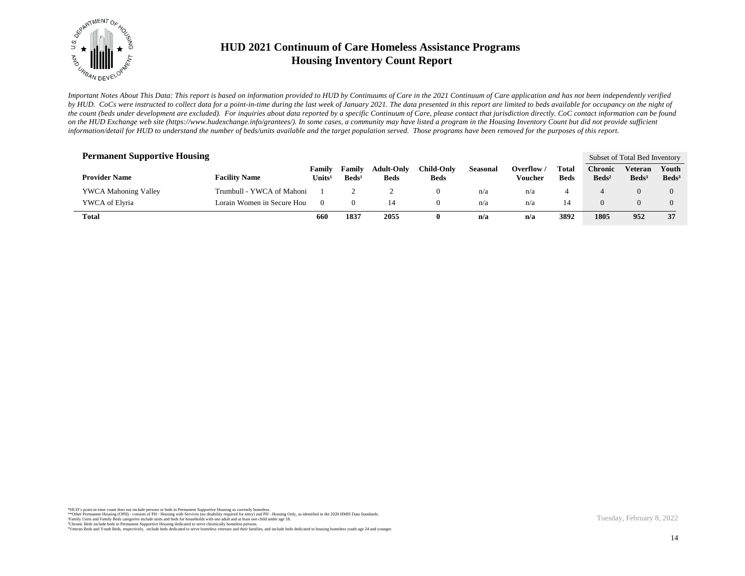

*Important Notes About This Data: This report is based on information provided to HUD by Continuums of Care in the 2021 Continuum of Care application and has not been independently verified*  by HUD. CoCs were instructed to collect data for a point-in-time during the last week of January 2021. The data presented in this report are limited to beds available for occupancy on the night of *the count (beds under development are excluded). For inquiries about data reported by a specific Continuum of Care, please contact that jurisdiction directly. CoC contact information can be found*  on the HUD Exchange web site (https://www.hudexchange.info/grantees/). In some cases, a community may have listed a program in the Housing Inventory Count but did not provide sufficient *information/detail for HUD to understand the number of beds/units available and the target population served. Those programs have been removed for the purposes of this report.*

| <b>Permanent Supportive Housing</b> |                            |                  |                           |                                  |                                  |                 |                     |                      |                                    | Subset of Total Bed Inventory |                            |
|-------------------------------------|----------------------------|------------------|---------------------------|----------------------------------|----------------------------------|-----------------|---------------------|----------------------|------------------------------------|-------------------------------|----------------------------|
| <b>Provider Name</b>                | <b>Facility Name</b>       | Family<br>Units' | Family<br>$\text{Beds}^1$ | <b>Adult-Only</b><br><b>Beds</b> | <b>Child-Only</b><br><b>Beds</b> | <b>Seasonal</b> | Overflow<br>Voucher | Total<br><b>Beds</b> | C <b>hronic</b><br>$\text{Beds}^2$ | Veteran<br>Beds <sup>3</sup>  | Youth<br>Beds <sup>3</sup> |
| <b>YWCA Mahoning Valley</b>         | Trumbull - YWCA of Mahoni  |                  |                           |                                  | $_{0}$                           | n/a             | n/a                 |                      |                                    |                               |                            |
| YWCA of Elyria                      | Lorain Women in Secure Hou | $\theta$         | $\Omega$                  | 14                               | $\theta$                         | n/a             | n/a                 | 14                   |                                    |                               |                            |
| <b>Total</b>                        |                            | 660              | 1837                      | 2055                             |                                  | n/a             | n/a                 | 3892                 | 1805                               | 952                           | 37                         |

\*HUD's point-in-time count does not include persons or beds in Permanent Supportive Housing as currently homeless.<br>\*\*Other Permanent Housing (OPH) - consists of PH - Housing with Services (no disability required for entry) <sup>3</sup>Veteran Beds and Youth Beds, respectively, include beds dedicated to serve homeless veterans and their families, and include beds dedicated to housing homeless youth age 24 and younger.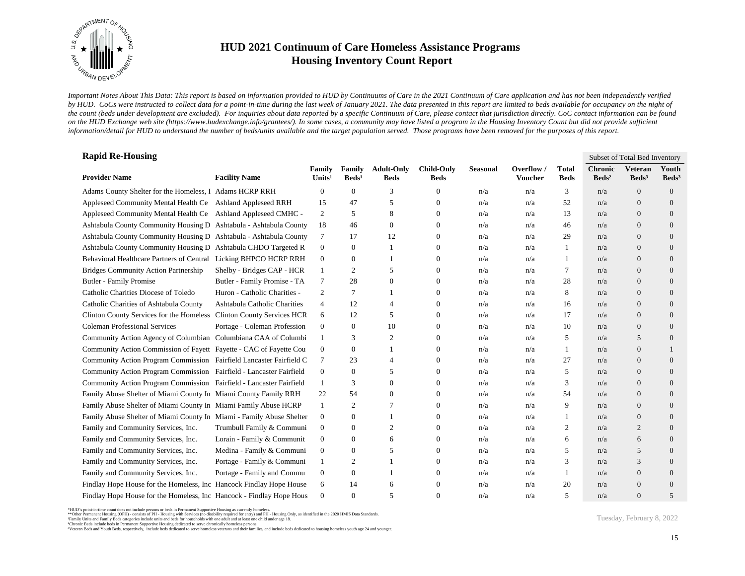

*Important Notes About This Data: This report is based on information provided to HUD by Continuums of Care in the 2021 Continuum of Care application and has not been independently verified*  by HUD. CoCs were instructed to collect data for a point-in-time during the last week of January 2021. The data presented in this report are limited to beds available for occupancy on the night of *the count (beds under development are excluded). For inquiries about data reported by a specific Continuum of Care, please contact that jurisdiction directly. CoC contact information can be found*  on the HUD Exchange web site (https://www.hudexchange.info/grantees/). In some cases, a community may have listed a program in the Housing Inventory Count but did not provide sufficient *information/detail for HUD to understand the number of beds/units available and the target population served. Those programs have been removed for the purposes of this report.*

| <b>Rapid Re-Housing</b>                                               |                              |                              |                           |                                  |                                  |                 |                             |                      | Subset of Total Bed Inventory     |                                     |                            |  |
|-----------------------------------------------------------------------|------------------------------|------------------------------|---------------------------|----------------------------------|----------------------------------|-----------------|-----------------------------|----------------------|-----------------------------------|-------------------------------------|----------------------------|--|
| <b>Provider Name</b>                                                  | <b>Facility Name</b>         | Family<br>Units <sup>1</sup> | Family<br>$\text{Beds}^1$ | <b>Adult-Only</b><br><b>Beds</b> | <b>Child-Only</b><br><b>Beds</b> | <b>Seasonal</b> | Overflow/<br><b>Voucher</b> | Total<br><b>Beds</b> | <b>Chronic</b><br>$\text{Beds}^2$ | <b>Veteran</b><br>Beds <sup>3</sup> | Youth<br>Beds <sup>3</sup> |  |
| Adams County Shelter for the Homeless, I Adams HCRP RRH               |                              | $\overline{0}$               | $\theta$                  | 3                                | 0                                | n/a             | n/a                         | 3                    | n/a                               | $\overline{0}$                      | $\overline{0}$             |  |
| Appleseed Community Mental Health Ce Ashland Appleseed RRH            |                              | 15                           | 47                        | 5                                | 0                                | n/a             | n/a                         | 52                   | n/a                               | $\overline{0}$                      | $\overline{0}$             |  |
| Appleseed Community Mental Health Ce Ashland Appleseed CMHC -         |                              | 2                            | 5                         | 8                                | $\Omega$                         | n/a             | n/a                         | 13                   | n/a                               | $\overline{0}$                      | $\overline{0}$             |  |
| Ashtabula County Community Housing D Ashtabula - Ashtabula County     |                              | 18                           | 46                        | $\mathbf{0}$                     | $\mathbf{0}$                     | n/a             | n/a                         | 46                   | n/a                               | $\overline{0}$                      | $\overline{0}$             |  |
| Ashtabula County Community Housing D Ashtabula - Ashtabula County     |                              | 7                            | 17                        | 12                               | 0                                | n/a             | n/a                         | 29                   | n/a                               | $\overline{0}$                      | $\overline{0}$             |  |
| Ashtabula County Community Housing D Ashtabula CHDO Targeted R        |                              | $\overline{0}$               | $\boldsymbol{0}$          |                                  | 0                                | n/a             | n/a                         | 1                    | n/a                               | $\overline{0}$                      | $\mathbf{0}$               |  |
| Behavioral Healthcare Partners of Central Licking BHPCO HCRP RRH      |                              | $\mathbf{0}$                 | $\boldsymbol{0}$          |                                  | 0                                | n/a             | n/a                         | 1                    | n/a                               | $\overline{0}$                      | $\overline{0}$             |  |
| <b>Bridges Community Action Partnership</b>                           | Shelby - Bridges CAP - HCR   | $\mathbf{1}$                 | $\mathfrak{2}$            | 5                                | $\Omega$                         | n/a             | n/a                         | 7                    | n/a                               | $\overline{0}$                      | $\overline{0}$             |  |
| Butler - Family Promise                                               | Butler - Family Promise - TA | 7                            | 28                        | $\mathbf{0}$                     | 0                                | n/a             | n/a                         | 28                   | n/a                               | $\overline{0}$                      | $\overline{0}$             |  |
| Catholic Charities Diocese of Toledo                                  | Huron - Catholic Charities - | 2                            | 7                         |                                  | 0                                | n/a             | n/a                         | 8                    | n/a                               | $\overline{0}$                      | $\mathbf{0}$               |  |
| Catholic Charities of Ashtabula County                                | Ashtabula Catholic Charities | $\overline{4}$               | 12                        | 4                                | $\theta$                         | n/a             | n/a                         | 16                   | n/a                               | $\overline{0}$                      | $\overline{0}$             |  |
| Clinton County Services for the Homeless Clinton County Services HCR  |                              | 6                            | 12                        | 5                                | $\Omega$                         | n/a             | n/a                         | 17                   | n/a                               | $\overline{0}$                      | $\overline{0}$             |  |
| <b>Coleman Professional Services</b>                                  | Portage - Coleman Profession | $\overline{0}$               | $\mathbf{0}$              | 10                               | 0                                | n/a             | n/a                         | 10                   | n/a                               | $\overline{0}$                      | $\overline{0}$             |  |
| Community Action Agency of Columbian Columbiana CAA of Columbi        |                              | 1                            | 3                         | 2                                | 0                                | n/a             | n/a                         | 5                    | n/a                               | 5                                   | $\mathbf{0}$               |  |
| Community Action Commission of Fayett Fayette - CAC of Fayette Cou    |                              | $\boldsymbol{0}$             | $\boldsymbol{0}$          |                                  | $\Omega$                         | n/a             | n/a                         | 1                    | n/a                               | $\overline{0}$                      |                            |  |
| Community Action Program Commission Fairfield Lancaster Fairfield C   |                              | 7                            | 23                        | 4                                | $\overline{0}$                   | n/a             | n/a                         | 27                   | n/a                               | $\overline{0}$                      | $\overline{0}$             |  |
| Community Action Program Commission Fairfield - Lancaster Fairfield   |                              | $\mathbf{0}$                 | $\boldsymbol{0}$          | 5                                | 0                                | n/a             | n/a                         | 5                    | n/a                               | $\overline{0}$                      | $\overline{0}$             |  |
| Community Action Program Commission Fairfield - Lancaster Fairfield   |                              | 1                            | 3                         | $\overline{0}$                   | $\Omega$                         | n/a             | n/a                         | 3                    | n/a                               | $\overline{0}$                      | $\overline{0}$             |  |
| Family Abuse Shelter of Miami County In Miami County Family RRH       |                              | 22                           | 54                        | $\overline{0}$                   | 0                                | n/a             | n/a                         | 54                   | n/a                               | $\overline{0}$                      | $\overline{0}$             |  |
| Family Abuse Shelter of Miami County In Miami Family Abuse HCRP       |                              | 1                            | $\mathfrak{2}$            | 7                                | 0                                | n/a             | n/a                         | 9                    | n/a                               | $\mathbf{0}$                        | $\overline{0}$             |  |
| Family Abuse Shelter of Miami County In Miami - Family Abuse Shelter  |                              | $\mathbf{0}$                 | $\boldsymbol{0}$          |                                  | 0                                | n/a             | n/a                         | 1                    | n/a                               | $\overline{0}$                      | $\mathbf{0}$               |  |
| Family and Community Services, Inc.                                   | Trumbull Family & Communi    | $\boldsymbol{0}$             | $\boldsymbol{0}$          | $\overline{2}$                   | 0                                | n/a             | n/a                         | $\overline{c}$       | n/a                               | $\overline{2}$                      | $\overline{0}$             |  |
| Family and Community Services, Inc.                                   | Lorain - Family & Communit   | $\mathbf{0}$                 | $\boldsymbol{0}$          | 6                                | $\theta$                         | n/a             | n/a                         | 6                    | n/a                               | 6                                   | $\overline{0}$             |  |
| Family and Community Services, Inc.                                   | Medina - Family & Communi    | $\overline{0}$               | $\theta$                  | 5                                | 0                                | n/a             | n/a                         | 5                    | n/a                               | 5                                   | $\overline{0}$             |  |
| Family and Community Services, Inc.                                   | Portage - Family & Communi   | $\mathbf{1}$                 | $\mathfrak{2}$            |                                  | 0                                | n/a             | n/a                         | 3                    | n/a                               | 3                                   | $\mathbf{0}$               |  |
| Family and Community Services, Inc.                                   | Portage - Family and Commu   | $\boldsymbol{0}$             | $\boldsymbol{0}$          |                                  | 0                                | n/a             | n/a                         | -1                   | n/a                               | $\mathbf{0}$                        | $\overline{0}$             |  |
| Findlay Hope House for the Homeless, Inc. Hancock Findlay Hope House  |                              | 6                            | 14                        | 6                                | 0                                | n/a             | n/a                         | 20                   | n/a                               | $\overline{0}$                      | $\Omega$                   |  |
| Findlay Hope House for the Homeless, Inc. Hancock - Findlay Hope Hous |                              | $\mathbf{0}$                 | $\overline{0}$            | 5                                | $\theta$                         | n/a             | n/a                         | 5                    | n/a                               | $\Omega$                            | 5                          |  |

\*HUD's point-in-time count does not include persons or beds in Permanent Supportive Housing as currently homeless.<br>\*\*Other Permanent Housing (OPH) - consists of PH - Housing with Services (no disability required for entry)

<sup>3</sup>Veteran Beds and Youth Beds, respectively, include beds dedicated to serve homeless veterans and their families, and include beds dedicated to housing homeless youth age 24 and younger.

Tuesday, February 8, 2022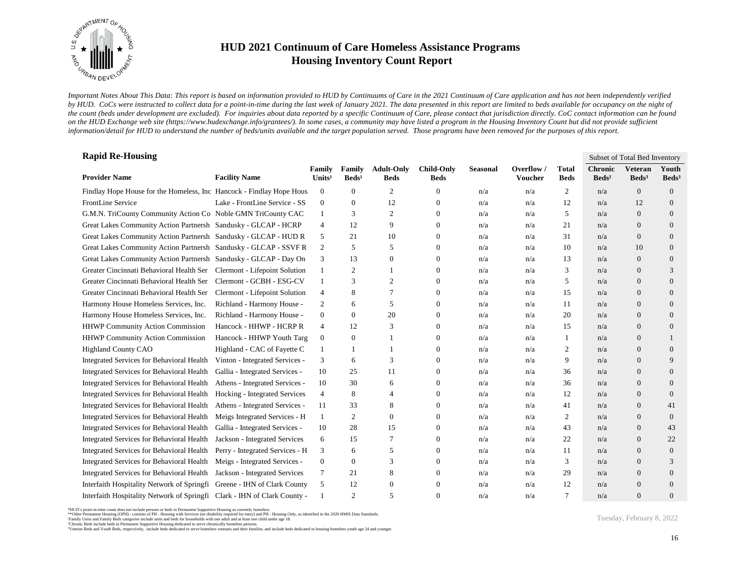

*Important Notes About This Data: This report is based on information provided to HUD by Continuums of Care in the 2021 Continuum of Care application and has not been independently verified*  by HUD. CoCs were instructed to collect data for a point-in-time during the last week of January 2021. The data presented in this report are limited to beds available for occupancy on the night of *the count (beds under development are excluded). For inquiries about data reported by a specific Continuum of Care, please contact that jurisdiction directly. CoC contact information can be found*  on the HUD Exchange web site (https://www.hudexchange.info/grantees/). In some cases, a community may have listed a program in the Housing Inventory Count but did not provide sufficient *information/detail for HUD to understand the number of beds/units available and the target population served. Those programs have been removed for the purposes of this report.*

| <b>Rapid Re-Housing</b>                                                  |                                 |                              |                           |                                  |                                  |                 |                       |                             |                                   | Subset of Total Bed Inventory       |                            |
|--------------------------------------------------------------------------|---------------------------------|------------------------------|---------------------------|----------------------------------|----------------------------------|-----------------|-----------------------|-----------------------------|-----------------------------------|-------------------------------------|----------------------------|
| <b>Provider Name</b>                                                     | <b>Facility Name</b>            | Family<br>Units <sup>1</sup> | Family<br>$\text{Beds}^1$ | <b>Adult-Only</b><br><b>Beds</b> | <b>Child-Only</b><br><b>Beds</b> | <b>Seasonal</b> | Overflow /<br>Voucher | <b>Total</b><br><b>Beds</b> | <b>Chronic</b><br>$\text{Beds}^2$ | <b>Veteran</b><br>Beds <sup>3</sup> | Youth<br>Beds <sup>3</sup> |
| Findlay Hope House for the Homeless, Inc Hancock - Findlay Hope Hous     |                                 | $\boldsymbol{0}$             | $\overline{0}$            | 2                                | 0                                | n/a             | n/a                   | $\overline{c}$              | n/a                               | $\overline{0}$                      | $\overline{0}$             |
| FrontLine Service                                                        | Lake - FrontLine Service - SS   | $\mathbf{0}$                 | $\overline{0}$            | 12                               | $\mathbf{0}$                     | n/a             | n/a                   | 12                          | n/a                               | 12                                  | $\overline{0}$             |
| G.M.N. TriCounty Community Action Co Noble GMN TriCounty CAC             |                                 | 1                            | 3                         | 2                                | $\overline{0}$                   | n/a             | n/a                   | 5                           | n/a                               | $\overline{0}$                      | $\overline{0}$             |
| Great Lakes Community Action Partnersh Sandusky - GLCAP - HCRP           |                                 | 4                            | 12                        | 9                                | $\mathbf{0}$                     | n/a             | n/a                   | 21                          | n/a                               | $\overline{0}$                      | $\mathbf{0}$               |
| Great Lakes Community Action Partnersh Sandusky - GLCAP - HUD R          |                                 | 5                            | 21                        | 10                               | $\overline{0}$                   | n/a             | n/a                   | 31                          | n/a                               | $\overline{0}$                      | $\overline{0}$             |
| Great Lakes Community Action Partnersh Sandusky - GLCAP - SSVF R         |                                 | 2                            | 5                         | 5                                | $\overline{0}$                   | n/a             | n/a                   | 10                          | n/a                               | 10                                  | $\overline{0}$             |
| Great Lakes Community Action Partnersh Sandusky - GLCAP - Day On         |                                 | 3                            | 13                        | $\mathbf{0}$                     | 0                                | n/a             | n/a                   | 13                          | n/a                               | $\overline{0}$                      | $\mathbf{0}$               |
| Greater Cincinnati Behavioral Health Ser Clermont - Lifepoint Solution   |                                 | 1                            | 2                         |                                  | $\overline{0}$                   | n/a             | n/a                   | 3                           | n/a                               | $\overline{0}$                      | 3                          |
| Greater Cincinnati Behavioral Health Ser                                 | Clermont - GCBH - ESG-CV        | 1                            | 3                         | $\overline{c}$                   | $\mathbf{0}$                     | n/a             | n/a                   | 5                           | n/a                               | $\overline{0}$                      | $\overline{0}$             |
| Greater Cincinnati Behavioral Health Ser                                 | Clermont - Lifepoint Solution   | $\overline{4}$               | 8                         | 7                                | 0                                | n/a             | n/a                   | 15                          | n/a                               | $\overline{0}$                      | $\mathbf{0}$               |
| Harmony House Homeless Services, Inc.                                    | Richland - Harmony House -      | 2                            | 6                         | 5                                | $\mathbf{0}$                     | n/a             | n/a                   | 11                          | n/a                               | $\overline{0}$                      | $\mathbf{0}$               |
| Harmony House Homeless Services, Inc.                                    | Richland - Harmony House -      | $\mathbf{0}$                 | $\overline{0}$            | 20                               | $\mathbf{0}$                     | n/a             | n/a                   | 20                          | n/a                               | $\overline{0}$                      | $\overline{0}$             |
| <b>HHWP Community Action Commission</b>                                  | Hancock - HHWP - HCRP R         | 4                            | 12                        | 3                                | $\overline{0}$                   | n/a             | n/a                   | 15                          | n/a                               | $\overline{0}$                      | $\overline{0}$             |
| <b>HHWP Community Action Commission</b>                                  | Hancock - HHWP Youth Targ       | $\boldsymbol{0}$             | $\boldsymbol{0}$          | -1                               | 0                                | n/a             | n/a                   | 1                           | n/a                               | $\overline{0}$                      |                            |
| <b>Highland County CAO</b>                                               | Highland - CAC of Fayette C     | 1                            | 1                         | $\overline{1}$                   | $\mathbf{0}$                     | n/a             | n/a                   | 2                           | n/a                               | $\overline{0}$                      | $\overline{0}$             |
| <b>Integrated Services for Behavioral Health</b>                         | Vinton - Integrated Services -  | 3                            | 6                         | 3                                | $\overline{0}$                   | n/a             | n/a                   | 9                           | n/a                               | $\overline{0}$                      | 9                          |
| <b>Integrated Services for Behavioral Health</b>                         | Gallia - Integrated Services -  | 10                           | 25                        | 11                               | $\overline{0}$                   | n/a             | n/a                   | 36                          | n/a                               | $\overline{0}$                      | $\overline{0}$             |
| Integrated Services for Behavioral Health                                | Athens - Integrated Services -  | 10                           | 30                        | 6                                | $\overline{0}$                   | n/a             | n/a                   | 36                          | n/a                               | $\overline{0}$                      | $\overline{0}$             |
| Integrated Services for Behavioral Health                                | Hocking - Integrated Services   | $\overline{4}$               | 8                         | $\overline{4}$                   | 0                                | n/a             | n/a                   | 12                          | n/a                               | $\overline{0}$                      | $\overline{0}$             |
| <b>Integrated Services for Behavioral Health</b>                         | Athens - Integrated Services -  | 11                           | 33                        | 8                                | $\overline{0}$                   | n/a             | n/a                   | 41                          | n/a                               | $\overline{0}$                      | 41                         |
| Integrated Services for Behavioral Health                                | Meigs Integrated Services - H   | 1                            | 2                         | $\overline{0}$                   | $\mathbf{0}$                     | n/a             | n/a                   | $\overline{c}$              | n/a                               | $\overline{0}$                      | $\mathbf{0}$               |
| Integrated Services for Behavioral Health                                | Gallia - Integrated Services -  | 10                           | 28                        | 15                               | $\mathbf{0}$                     | n/a             | n/a                   | 43                          | n/a                               | $\Omega$                            | 43                         |
| <b>Integrated Services for Behavioral Health</b>                         | Jackson - Integrated Services   | 6                            | 15                        | 7                                | 0                                | n/a             | n/a                   | 22                          | n/a                               | $\overline{0}$                      | 22                         |
| Integrated Services for Behavioral Health                                | Perry - Integrated Services - H | 3                            | 6                         | 5                                | 0                                | n/a             | n/a                   | 11                          | n/a                               | $\overline{0}$                      | $\mathbf{0}$               |
| Integrated Services for Behavioral Health                                | Meigs - Integrated Services -   | $\mathbf{0}$                 | 0                         | 3                                | $\overline{0}$                   | n/a             | n/a                   | 3                           | n/a                               | $\overline{0}$                      | 3                          |
| Integrated Services for Behavioral Health                                | Jackson - Integrated Services   | 7                            | 21                        | 8                                | $\overline{0}$                   | n/a             | n/a                   | 29                          | n/a                               | $\overline{0}$                      | $\overline{0}$             |
| Interfaith Hospitality Network of Springfi                               | Greene - IHN of Clark County    | 5                            | 12                        | $\theta$                         | $\overline{0}$                   | n/a             | n/a                   | 12                          | n/a                               | $\overline{0}$                      | $\overline{0}$             |
| Interfaith Hospitality Network of Springfi Clark - IHN of Clark County - |                                 | $\mathbf{1}$                 | 2                         | 5                                | $\Omega$                         | n/a             | n/a                   | 7                           | n/a                               | $\Omega$                            | $\overline{0}$             |

<sup>\*</sup>HUD's point-in-time count does not include persons or beds in Permanent Supportive Housing as currently homeless.<br>\*\*Other Permanent Housing (OPH) - consists of PH - Housing with Services (no disability required for entry)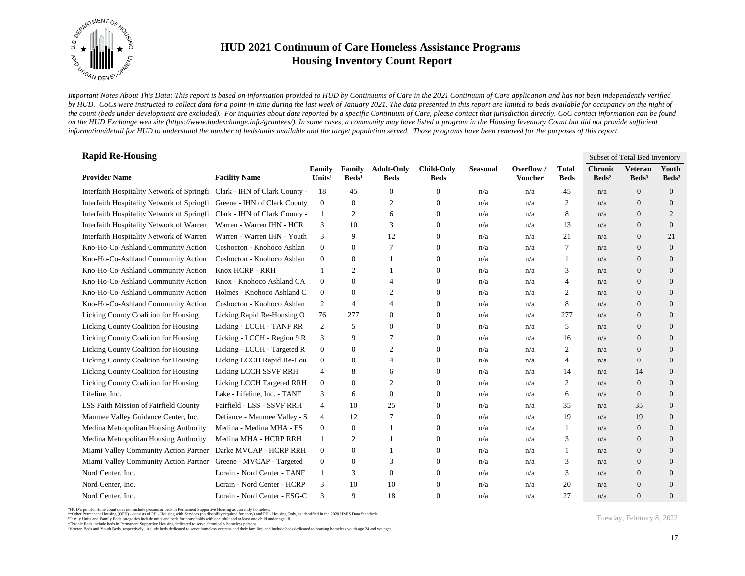

*Important Notes About This Data: This report is based on information provided to HUD by Continuums of Care in the 2021 Continuum of Care application and has not been independently verified*  by HUD. CoCs were instructed to collect data for a point-in-time during the last week of January 2021. The data presented in this report are limited to beds available for occupancy on the night of *the count (beds under development are excluded). For inquiries about data reported by a specific Continuum of Care, please contact that jurisdiction directly. CoC contact information can be found*  on the HUD Exchange web site (https://www.hudexchange.info/grantees/). In some cases, a community may have listed a program in the Housing Inventory Count but did not provide sufficient *information/detail for HUD to understand the number of beds/units available and the target population served. Those programs have been removed for the purposes of this report.*

| <b>Rapid Re-Housing</b>                    |                               |                              |                           |                                  |                                  |                 |                       |                             | Subset of Total Bed Inventory     |                                     |                            |  |
|--------------------------------------------|-------------------------------|------------------------------|---------------------------|----------------------------------|----------------------------------|-----------------|-----------------------|-----------------------------|-----------------------------------|-------------------------------------|----------------------------|--|
| <b>Provider Name</b>                       | <b>Facility Name</b>          | Family<br>Units <sup>1</sup> | Family<br>$\text{Beds}^1$ | <b>Adult-Only</b><br><b>Beds</b> | <b>Child-Only</b><br><b>Beds</b> | <b>Seasonal</b> | Overflow /<br>Voucher | <b>Total</b><br><b>Beds</b> | <b>Chronic</b><br>$\text{Beds}^2$ | <b>Veteran</b><br>Beds <sup>3</sup> | Youth<br>Beds <sup>3</sup> |  |
| Interfaith Hospitality Network of Springfi | Clark - IHN of Clark County - | 18                           | 45                        | $\theta$                         | 0                                | n/a             | n/a                   | 45                          | n/a                               | $\overline{0}$                      | $\overline{0}$             |  |
| Interfaith Hospitality Network of Springfi | Greene - IHN of Clark County  | $\mathbf{0}$                 | $\boldsymbol{0}$          | $\overline{c}$                   | 0                                | n/a             | n/a                   | 2                           | n/a                               | $\overline{0}$                      | $\mathbf{0}$               |  |
| Interfaith Hospitality Network of Springfi | Clark - IHN of Clark County - | $\mathbf{1}$                 | 2                         | 6                                | $\mathbf{0}$                     | n/a             | n/a                   | 8                           | n/a                               | $\overline{0}$                      | $\overline{2}$             |  |
| Interfaith Hospitality Network of Warren   | Warren - Warren IHN - HCR     | 3                            | 10                        | 3                                | $\mathbf{0}$                     | n/a             | n/a                   | 13                          | n/a                               | $\overline{0}$                      | $\mathbf{0}$               |  |
| Interfaith Hospitality Network of Warren   | Warren - Warren IHN - Youth   | 3                            | 9                         | 12                               | $\mathbf{0}$                     | n/a             | n/a                   | 21                          | n/a                               | $\overline{0}$                      | 21                         |  |
| Kno-Ho-Co-Ashland Community Action         | Coshocton - Knohoco Ashlan    | $\mathbf{0}$                 | $\mathbf{0}$              | 7                                | 0                                | n/a             | n/a                   | 7                           | n/a                               | $\overline{0}$                      | $\overline{0}$             |  |
| Kno-Ho-Co-Ashland Community Action         | Coshocton - Knohoco Ashlan    | $\mathbf{0}$                 | $\boldsymbol{0}$          |                                  | 0                                | n/a             | n/a                   | 1                           | n/a                               | $\overline{0}$                      | $\mathbf{0}$               |  |
| Kno-Ho-Co-Ashland Community Action         | Knox HCRP - RRH               | $\mathbf{1}$                 | $\overline{2}$            |                                  | $\mathbf{0}$                     | n/a             | n/a                   | 3                           | n/a                               | $\overline{0}$                      | $\overline{0}$             |  |
| Kno-Ho-Co-Ashland Community Action         | Knox - Knohoco Ashland CA     | $\mathbf{0}$                 | $\boldsymbol{0}$          | $\overline{4}$                   | $\boldsymbol{0}$                 | n/a             | n/a                   | $\overline{4}$              | n/a                               | $\overline{0}$                      | $\overline{0}$             |  |
| Kno-Ho-Co-Ashland Community Action         | Holmes - Knohoco Ashland C    | $\mathbf{0}$                 | $\mathbf{0}$              | 2                                | $\mathbf{0}$                     | n/a             | n/a                   | 2                           | n/a                               | $\overline{0}$                      | $\overline{0}$             |  |
| Kno-Ho-Co-Ashland Community Action         | Coshocton - Knohoco Ashlan    | 2                            | 4                         | 4                                | $\boldsymbol{0}$                 | n/a             | n/a                   | 8                           | n/a                               | $\overline{0}$                      | $\mathbf{0}$               |  |
| Licking County Coalition for Housing       | Licking Rapid Re-Housing O    | 76                           | 277                       | $\overline{0}$                   | $\mathbf{0}$                     | n/a             | n/a                   | 277                         | n/a                               | $\overline{0}$                      | $\overline{0}$             |  |
| Licking County Coalition for Housing       | Licking - LCCH - TANF RR      | $\overline{2}$               | 5                         | $\theta$                         | $\mathbf{0}$                     | n/a             | n/a                   | 5                           | n/a                               | $\overline{0}$                      | $\overline{0}$             |  |
| Licking County Coalition for Housing       | Licking - LCCH - Region 9 R   | 3                            | 9                         | 7                                | $\mathbf{0}$                     | n/a             | n/a                   | 16                          | n/a                               | $\mathbf{0}$                        | $\overline{0}$             |  |
| Licking County Coalition for Housing       | Licking - LCCH - Targeted R   | $\mathbf{0}$                 | $\boldsymbol{0}$          | $\mathfrak{2}$                   | $\mathbf{0}$                     | n/a             | n/a                   | 2                           | n/a                               | $\overline{0}$                      | $\mathbf{0}$               |  |
| Licking County Coalition for Housing       | Licking LCCH Rapid Re-Hou     | $\boldsymbol{0}$             | $\boldsymbol{0}$          | 4                                | $\mathbf{0}$                     | n/a             | n/a                   | 4                           | n/a                               | $\overline{0}$                      | $\mathbf{0}$               |  |
| Licking County Coalition for Housing       | Licking LCCH SSVF RRH         | $\overline{4}$               | 8                         | 6                                | $\mathbf{0}$                     | n/a             | n/a                   | 14                          | n/a                               | 14                                  | $\overline{0}$             |  |
| Licking County Coalition for Housing       | Licking LCCH Targeted RRH     | $\mathbf{0}$                 | $\mathbf{0}$              | $\mathbf{2}$                     | $\mathbf{0}$                     | n/a             | n/a                   | 2                           | n/a                               | $\overline{0}$                      | $\overline{0}$             |  |
| Lifeline, Inc.                             | Lake - Lifeline, Inc. - TANF  | 3                            | 6                         | $\overline{0}$                   | $\mathbf{0}$                     | n/a             | n/a                   | 6                           | n/a                               | $\overline{0}$                      | $\overline{0}$             |  |
| LSS Faith Mission of Fairfield County      | Fairfield - LSS - SSVF RRH    | $\overline{4}$               | 10                        | 25                               | 0                                | n/a             | n/a                   | 35                          | n/a                               | 35                                  | $\mathbf{0}$               |  |
| Maumee Valley Guidance Center, Inc.        | Defiance - Maumee Valley - S  | $\overline{4}$               | 12                        | 7                                | 0                                | n/a             | n/a                   | 19                          | n/a                               | 19                                  | $\overline{0}$             |  |
| Medina Metropolitan Housing Authority      | Medina - Medina MHA - ES      | $\mathbf{0}$                 | $\boldsymbol{0}$          |                                  | $\Omega$                         | n/a             | n/a                   | 1                           | n/a                               | $\overline{0}$                      | $\overline{0}$             |  |
| Medina Metropolitan Housing Authority      | Medina MHA - HCRP RRH         | -1                           | 2                         |                                  | $\mathbf{0}$                     | n/a             | n/a                   | 3                           | n/a                               | $\overline{0}$                      | $\overline{0}$             |  |
| Miami Valley Community Action Partner      | Darke MVCAP - HCRP RRH        | $\mathbf{0}$                 | $\boldsymbol{0}$          | $\mathbf{1}$                     | $\mathbf{0}$                     | n/a             | n/a                   | 1                           | n/a                               | $\mathbf{0}$                        | $\mathbf{0}$               |  |
| Miami Valley Community Action Partner      | Greene - MVCAP - Targeted     | $\mathbf{0}$                 | $\boldsymbol{0}$          | 3                                | 0                                | n/a             | n/a                   | 3                           | n/a                               | $\overline{0}$                      | $\mathbf{0}$               |  |
| Nord Center, Inc.                          | Lorain - Nord Center - TANF   | -1                           | 3                         | $\theta$                         | 0                                | n/a             | n/a                   | 3                           | n/a                               | $\mathbf{0}$                        | $\overline{0}$             |  |
| Nord Center, Inc.                          | Lorain - Nord Center - HCRP   | 3                            | 10                        | 10                               | $\Omega$                         | n/a             | n/a                   | 20                          | n/a                               | $\mathbf{0}$                        | $\overline{0}$             |  |
| Nord Center, Inc.                          | Lorain - Nord Center - ESG-C  | 3                            | 9                         | 18                               | $\mathbf{0}$                     | n/a             | n/a                   | 27                          | n/a                               | $\Omega$                            | $\overline{0}$             |  |

\*HUD's point-in-time count does not include persons or beds in Permanent Supportive Housing as currently homeless.<br>\*\*Other Permanent Housing (OPH) - consists of PH - Housing with Services (no disability required for entry)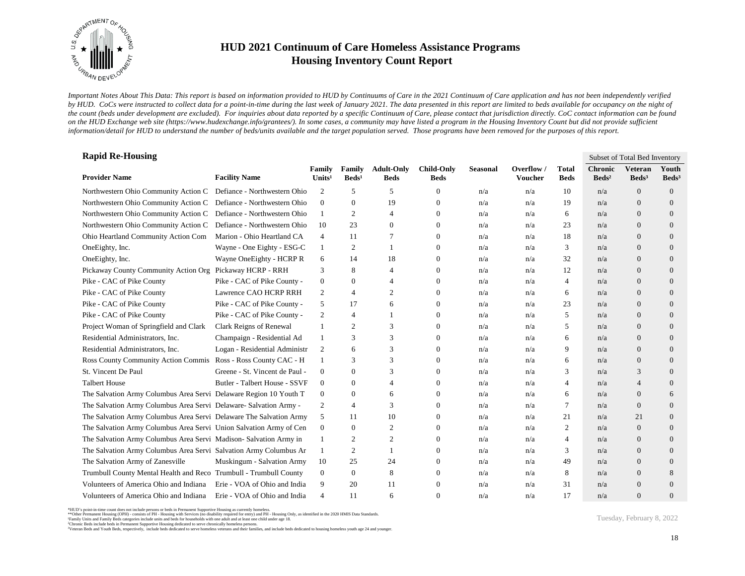

*Important Notes About This Data: This report is based on information provided to HUD by Continuums of Care in the 2021 Continuum of Care application and has not been independently verified*  by HUD. CoCs were instructed to collect data for a point-in-time during the last week of January 2021. The data presented in this report are limited to beds available for occupancy on the night of *the count (beds under development are excluded). For inquiries about data reported by a specific Continuum of Care, please contact that jurisdiction directly. CoC contact information can be found*  on the HUD Exchange web site (https://www.hudexchange.info/grantees/). In some cases, a community may have listed a program in the Housing Inventory Count but did not provide sufficient *information/detail for HUD to understand the number of beds/units available and the target population served. Those programs have been removed for the purposes of this report.*

| <b>Rapid Re-Housing</b>                                            |                                |                              |                           |                                  |                                  |                 |                       |                             | Subset of Total Bed Inventory     |                                     |                            |  |
|--------------------------------------------------------------------|--------------------------------|------------------------------|---------------------------|----------------------------------|----------------------------------|-----------------|-----------------------|-----------------------------|-----------------------------------|-------------------------------------|----------------------------|--|
| <b>Provider Name</b>                                               | <b>Facility Name</b>           | Family<br>Units <sup>1</sup> | Family<br>$\text{Beds}^1$ | <b>Adult-Only</b><br><b>Beds</b> | <b>Child-Only</b><br><b>Beds</b> | <b>Seasonal</b> | Overflow /<br>Voucher | <b>Total</b><br><b>Beds</b> | <b>Chronic</b><br>$\text{Beds}^2$ | <b>Veteran</b><br>Beds <sup>3</sup> | Youth<br>Beds <sup>3</sup> |  |
| Northwestern Ohio Community Action C                               | Defiance - Northwestern Ohio   | 2                            | 5                         | 5                                | 0                                | n/a             | n/a                   | 10                          | n/a                               | $\overline{0}$                      | $\mathbf{0}$               |  |
| Northwestern Ohio Community Action C                               | Defiance - Northwestern Ohio   | $\mathbf{0}$                 | $\overline{0}$            | 19                               | $\overline{0}$                   | n/a             | n/a                   | 19                          | n/a                               | $\overline{0}$                      | $\overline{0}$             |  |
| Northwestern Ohio Community Action C                               | Defiance - Northwestern Ohio   | 1                            | 2                         | $\overline{4}$                   | $\theta$                         | n/a             | n/a                   | 6                           | n/a                               | $\Omega$                            | $\overline{0}$             |  |
| Northwestern Ohio Community Action C                               | Defiance - Northwestern Ohio   | 10                           | 23                        | $\theta$                         | $\mathbf{0}$                     | n/a             | n/a                   | 23                          | n/a                               | $\overline{0}$                      | $\overline{0}$             |  |
| Ohio Heartland Community Action Com                                | Marion - Ohio Heartland CA     | 4                            | 11                        | 7                                | $\overline{0}$                   | n/a             | n/a                   | 18                          | n/a                               | $\overline{0}$                      | $\overline{0}$             |  |
| OneEighty, Inc.                                                    | Wayne - One Eighty - ESG-C     | $\mathbf{1}$                 | $\overline{c}$            | $\overline{1}$                   | $\overline{0}$                   | n/a             | n/a                   | 3                           | n/a                               | $\Omega$                            | $\overline{0}$             |  |
| OneEighty, Inc.                                                    | Wayne OneEighty - HCRP R       | 6                            | 14                        | 18                               | $\mathbf{0}$                     | n/a             | n/a                   | 32                          | n/a                               | $\Omega$                            | $\overline{0}$             |  |
| Pickaway County Community Action Org                               | Pickaway HCRP - RRH            | 3                            | 8                         | $\overline{4}$                   | $\overline{0}$                   | n/a             | n/a                   | 12                          | n/a                               | $\overline{0}$                      | $\overline{0}$             |  |
| Pike - CAC of Pike County                                          | Pike - CAC of Pike County -    | $\boldsymbol{0}$             | $\boldsymbol{0}$          | $\overline{4}$                   | 0                                | n/a             | n/a                   | 4                           | n/a                               | $\overline{0}$                      | $\overline{0}$             |  |
| Pike - CAC of Pike County                                          | Lawrence CAO HCRP RRH          | 2                            | 4                         | 2                                | $\overline{0}$                   | n/a             | n/a                   | 6                           | n/a                               | $\overline{0}$                      | $\overline{0}$             |  |
| Pike - CAC of Pike County                                          | Pike - CAC of Pike County -    | 5                            | 17                        | 6                                | $\overline{0}$                   | n/a             | n/a                   | 23                          | n/a                               | $\Omega$                            | $\overline{0}$             |  |
| Pike - CAC of Pike County                                          | Pike - CAC of Pike County -    | $\mathfrak{2}$               | $\overline{4}$            | $\overline{1}$                   | $\mathbf{0}$                     | n/a             | n/a                   | 5                           | n/a                               | $\overline{0}$                      | $\overline{0}$             |  |
| Project Woman of Springfield and Clark                             | Clark Reigns of Renewal        | 1                            | 2                         | 3                                | $\overline{0}$                   | n/a             | n/a                   | 5                           | n/a                               | $\overline{0}$                      | $\overline{0}$             |  |
| Residential Administrators, Inc.                                   | Champaign - Residential Ad     | 1                            | 3                         | 3                                | 0                                | n/a             | n/a                   | 6                           | n/a                               | $\overline{0}$                      | $\overline{0}$             |  |
| Residential Administrators, Inc.                                   | Logan - Residential Administr  | 2                            | 6                         | 3                                | $\left($                         | n/a             | n/a                   | 9                           | n/a                               | $\Omega$                            | $\Omega$                   |  |
| Ross County Community Action Commis Ross - Ross County CAC - H     |                                | $\mathbf{1}$                 | 3                         | 3                                | $\overline{0}$                   | n/a             | n/a                   | 6                           | n/a                               | $\overline{0}$                      | $\overline{0}$             |  |
| St. Vincent De Paul                                                | Greene - St. Vincent de Paul - | $\overline{0}$               | $\mathbf{0}$              | 3                                | $\Omega$                         | n/a             | n/a                   | 3                           | n/a                               | 3                                   | $\Omega$                   |  |
| <b>Talbert House</b>                                               | Butler - Talbert House - SSVF  | $\overline{0}$               | $\mathbf{0}$              | $\overline{4}$                   | $\theta$                         | n/a             | n/a                   | $\overline{4}$              | n/a                               | 4                                   | $\overline{0}$             |  |
| The Salvation Army Columbus Area Servi Delaware Region 10 Youth T  |                                | $\overline{0}$               | $\overline{0}$            | 6                                | $\mathbf{0}$                     | n/a             | n/a                   | 6                           | n/a                               | $\overline{0}$                      | 6                          |  |
| The Salvation Army Columbus Area Servi Delaware- Salvation Army -  |                                | 2                            | 4                         | 3                                | $\overline{0}$                   | n/a             | n/a                   | 7                           | n/a                               | $\overline{0}$                      | $\overline{0}$             |  |
| The Salvation Army Columbus Area Servi Delaware The Salvation Army |                                | 5                            | 11                        | 10                               | $\overline{0}$                   | n/a             | n/a                   | 21                          | n/a                               | 21                                  | $\overline{0}$             |  |
| The Salvation Army Columbus Area Servi Union Salvation Army of Cen |                                | $\overline{0}$               | $\Omega$                  | 2                                | $\overline{0}$                   | n/a             | n/a                   | 2                           | n/a                               | $\Omega$                            | $\Omega$                   |  |
| The Salvation Army Columbus Area Servi Madison-Salvation Army in   |                                | 1                            | $\overline{c}$            | 2                                | $\overline{0}$                   | n/a             | n/a                   | $\overline{4}$              | n/a                               | $\overline{0}$                      | $\overline{0}$             |  |
| The Salvation Army Columbus Area Servi Salvation Army Columbus Ar  |                                | 1                            | $\overline{c}$            | $\overline{1}$                   | $\overline{0}$                   | n/a             | n/a                   | 3                           | n/a                               | $\overline{0}$                      | $\overline{0}$             |  |
| The Salvation Army of Zanesville                                   | Muskingum - Salvation Army     | 10                           | 25                        | 24                               | $\overline{0}$                   | n/a             | n/a                   | 49                          | n/a                               | $\overline{0}$                      | $\overline{0}$             |  |
| Trumbull County Mental Health and Reco Trumbull - Trumbull County  |                                | $\overline{0}$               | $\mathbf{0}$              | 8                                | $\overline{0}$                   | n/a             | n/a                   | 8                           | n/a                               | $\Omega$                            | 8                          |  |
| Volunteers of America Ohio and Indiana                             | Erie - VOA of Ohio and India   | 9                            | 20                        | 11                               | $\Omega$                         | n/a             | n/a                   | 31                          | n/a                               | $\overline{0}$                      | $\overline{0}$             |  |
| Volunteers of America Ohio and Indiana                             | Erie - VOA of Ohio and India   | $\overline{4}$               | 11                        | 6                                | $\Omega$                         | n/a             | n/a                   | 17                          | n/a                               | $\Omega$                            | $\overline{0}$             |  |

<sup>\*</sup>HUD's point-in-time count does not include persons or beds in Permanent Supportive Housing as currently homeless.<br>\*\*Other Permanent Housing (OPH) - consists of PH - Housing with Services (no disability required for entry)